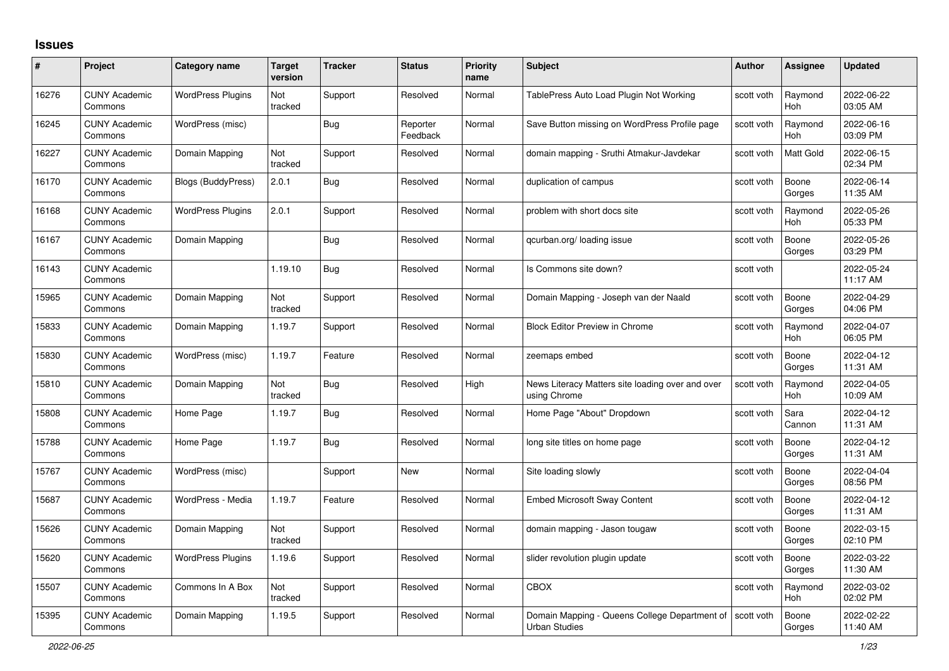## **Issues**

| #     | Project                         | Category name            | <b>Target</b><br>version | <b>Tracker</b> | <b>Status</b>        | <b>Priority</b><br>name | <b>Subject</b>                                                                   | <b>Author</b> | <b>Assignee</b>       | <b>Updated</b>         |
|-------|---------------------------------|--------------------------|--------------------------|----------------|----------------------|-------------------------|----------------------------------------------------------------------------------|---------------|-----------------------|------------------------|
| 16276 | <b>CUNY Academic</b><br>Commons | <b>WordPress Plugins</b> | Not<br>tracked           | Support        | Resolved             | Normal                  | TablePress Auto Load Plugin Not Working                                          | scott voth    | Raymond<br><b>Hoh</b> | 2022-06-22<br>03:05 AM |
| 16245 | <b>CUNY Academic</b><br>Commons | WordPress (misc)         |                          | Bug            | Reporter<br>Feedback | Normal                  | Save Button missing on WordPress Profile page                                    | scott voth    | Raymond<br><b>Hoh</b> | 2022-06-16<br>03:09 PM |
| 16227 | <b>CUNY Academic</b><br>Commons | Domain Mapping           | Not<br>tracked           | Support        | Resolved             | Normal                  | domain mapping - Sruthi Atmakur-Javdekar                                         | scott voth    | Matt Gold             | 2022-06-15<br>02:34 PM |
| 16170 | <b>CUNY Academic</b><br>Commons | Blogs (BuddyPress)       | 2.0.1                    | Bug            | Resolved             | Normal                  | duplication of campus                                                            | scott voth    | Boone<br>Gorges       | 2022-06-14<br>11:35 AM |
| 16168 | <b>CUNY Academic</b><br>Commons | <b>WordPress Plugins</b> | 2.0.1                    | Support        | Resolved             | Normal                  | problem with short docs site                                                     | scott voth    | Raymond<br><b>Hoh</b> | 2022-05-26<br>05:33 PM |
| 16167 | <b>CUNY Academic</b><br>Commons | Domain Mapping           |                          | <b>Bug</b>     | Resolved             | Normal                  | gcurban.org/loading issue                                                        | scott voth    | Boone<br>Gorges       | 2022-05-26<br>03:29 PM |
| 16143 | <b>CUNY Academic</b><br>Commons |                          | 1.19.10                  | <b>Bug</b>     | Resolved             | Normal                  | Is Commons site down?                                                            | scott voth    |                       | 2022-05-24<br>11:17 AM |
| 15965 | <b>CUNY Academic</b><br>Commons | Domain Mapping           | Not<br>tracked           | Support        | Resolved             | Normal                  | Domain Mapping - Joseph van der Naald                                            | scott voth    | Boone<br>Gorges       | 2022-04-29<br>04:06 PM |
| 15833 | <b>CUNY Academic</b><br>Commons | Domain Mapping           | 1.19.7                   | Support        | Resolved             | Normal                  | <b>Block Editor Preview in Chrome</b>                                            | scott voth    | Raymond<br>Hoh        | 2022-04-07<br>06:05 PM |
| 15830 | <b>CUNY Academic</b><br>Commons | WordPress (misc)         | 1.19.7                   | Feature        | Resolved             | Normal                  | zeemaps embed                                                                    | scott voth    | Boone<br>Gorges       | 2022-04-12<br>11:31 AM |
| 15810 | <b>CUNY Academic</b><br>Commons | Domain Mapping           | Not<br>tracked           | Bug            | Resolved             | High                    | News Literacy Matters site loading over and over<br>using Chrome                 | scott voth    | Raymond<br><b>Hoh</b> | 2022-04-05<br>10:09 AM |
| 15808 | <b>CUNY Academic</b><br>Commons | Home Page                | 1.19.7                   | <b>Bug</b>     | Resolved             | Normal                  | Home Page "About" Dropdown                                                       | scott voth    | Sara<br>Cannon        | 2022-04-12<br>11:31 AM |
| 15788 | <b>CUNY Academic</b><br>Commons | Home Page                | 1.19.7                   | <b>Bug</b>     | Resolved             | Normal                  | long site titles on home page                                                    | scott voth    | Boone<br>Gorges       | 2022-04-12<br>11:31 AM |
| 15767 | <b>CUNY Academic</b><br>Commons | WordPress (misc)         |                          | Support        | New                  | Normal                  | Site loading slowly                                                              | scott voth    | Boone<br>Gorges       | 2022-04-04<br>08:56 PM |
| 15687 | <b>CUNY Academic</b><br>Commons | WordPress - Media        | 1.19.7                   | Feature        | Resolved             | Normal                  | <b>Embed Microsoft Sway Content</b>                                              | scott voth    | Boone<br>Gorges       | 2022-04-12<br>11:31 AM |
| 15626 | <b>CUNY Academic</b><br>Commons | Domain Mapping           | Not<br>tracked           | Support        | Resolved             | Normal                  | domain mapping - Jason tougaw                                                    | scott voth    | Boone<br>Gorges       | 2022-03-15<br>02:10 PM |
| 15620 | <b>CUNY Academic</b><br>Commons | <b>WordPress Plugins</b> | 1.19.6                   | Support        | Resolved             | Normal                  | slider revolution plugin update                                                  | scott voth    | Boone<br>Gorges       | 2022-03-22<br>11:30 AM |
| 15507 | <b>CUNY Academic</b><br>Commons | Commons In A Box         | Not<br>tracked           | Support        | Resolved             | Normal                  | <b>CBOX</b>                                                                      | scott voth    | Raymond<br>Hoh        | 2022-03-02<br>02:02 PM |
| 15395 | CUNY Academic<br>Commons        | Domain Mapping           | 1.19.5                   | Support        | Resolved             | Normal                  | Domain Mapping - Queens College Department of Scott voth<br><b>Urban Studies</b> |               | Boone<br>Gorges       | 2022-02-22<br>11:40 AM |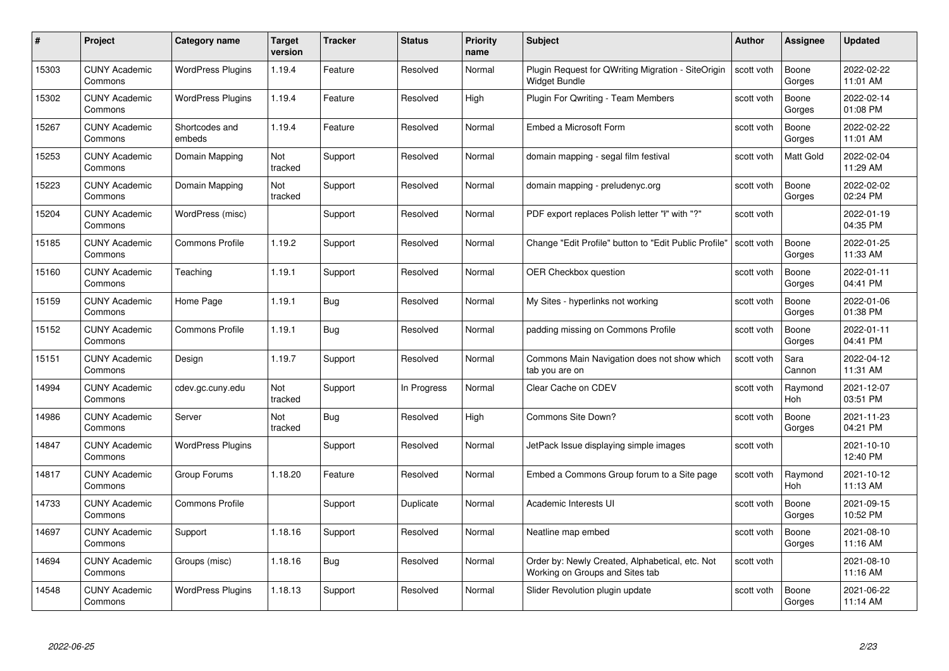| #     | Project                         | <b>Category name</b>     | Target<br>version | <b>Tracker</b> | <b>Status</b> | <b>Priority</b><br>name | <b>Subject</b>                                                                     | <b>Author</b> | <b>Assignee</b>  | <b>Updated</b>         |
|-------|---------------------------------|--------------------------|-------------------|----------------|---------------|-------------------------|------------------------------------------------------------------------------------|---------------|------------------|------------------------|
| 15303 | <b>CUNY Academic</b><br>Commons | <b>WordPress Plugins</b> | 1.19.4            | Feature        | Resolved      | Normal                  | Plugin Request for QWriting Migration - SiteOrigin<br>Widget Bundle                | scott voth    | Boone<br>Gorges  | 2022-02-22<br>11:01 AM |
| 15302 | <b>CUNY Academic</b><br>Commons | <b>WordPress Plugins</b> | 1.19.4            | Feature        | Resolved      | High                    | Plugin For Qwriting - Team Members                                                 | scott voth    | Boone<br>Gorges  | 2022-02-14<br>01:08 PM |
| 15267 | <b>CUNY Academic</b><br>Commons | Shortcodes and<br>embeds | 1.19.4            | Feature        | Resolved      | Normal                  | Embed a Microsoft Form                                                             | scott voth    | Boone<br>Gorges  | 2022-02-22<br>11:01 AM |
| 15253 | <b>CUNY Academic</b><br>Commons | Domain Mapping           | Not<br>tracked    | Support        | Resolved      | Normal                  | domain mapping - segal film festival                                               | scott voth    | <b>Matt Gold</b> | 2022-02-04<br>11:29 AM |
| 15223 | <b>CUNY Academic</b><br>Commons | Domain Mapping           | Not<br>tracked    | Support        | Resolved      | Normal                  | domain mapping - preludenyc.org                                                    | scott voth    | Boone<br>Gorges  | 2022-02-02<br>02:24 PM |
| 15204 | <b>CUNY Academic</b><br>Commons | WordPress (misc)         |                   | Support        | Resolved      | Normal                  | PDF export replaces Polish letter "I" with "?"                                     | scott voth    |                  | 2022-01-19<br>04:35 PM |
| 15185 | <b>CUNY Academic</b><br>Commons | <b>Commons Profile</b>   | 1.19.2            | Support        | Resolved      | Normal                  | Change "Edit Profile" button to "Edit Public Profile"                              | scott voth    | Boone<br>Gorges  | 2022-01-25<br>11:33 AM |
| 15160 | <b>CUNY Academic</b><br>Commons | Teaching                 | 1.19.1            | Support        | Resolved      | Normal                  | <b>OER Checkbox question</b>                                                       | scott voth    | Boone<br>Gorges  | 2022-01-11<br>04:41 PM |
| 15159 | <b>CUNY Academic</b><br>Commons | Home Page                | 1.19.1            | Bug            | Resolved      | Normal                  | My Sites - hyperlinks not working                                                  | scott voth    | Boone<br>Gorges  | 2022-01-06<br>01:38 PM |
| 15152 | <b>CUNY Academic</b><br>Commons | <b>Commons Profile</b>   | 1.19.1            | <b>Bug</b>     | Resolved      | Normal                  | padding missing on Commons Profile                                                 | scott voth    | Boone<br>Gorges  | 2022-01-11<br>04:41 PM |
| 15151 | CUNY Academic<br>Commons        | Design                   | 1.19.7            | Support        | Resolved      | Normal                  | Commons Main Navigation does not show which<br>tab you are on                      | scott voth    | Sara<br>Cannon   | 2022-04-12<br>11:31 AM |
| 14994 | <b>CUNY Academic</b><br>Commons | cdev.gc.cuny.edu         | Not<br>tracked    | Support        | In Progress   | Normal                  | Clear Cache on CDEV                                                                | scott voth    | Raymond<br>Hoh   | 2021-12-07<br>03:51 PM |
| 14986 | <b>CUNY Academic</b><br>Commons | Server                   | Not<br>tracked    | <b>Bug</b>     | Resolved      | High                    | Commons Site Down?                                                                 | scott voth    | Boone<br>Gorges  | 2021-11-23<br>04:21 PM |
| 14847 | <b>CUNY Academic</b><br>Commons | <b>WordPress Plugins</b> |                   | Support        | Resolved      | Normal                  | JetPack Issue displaying simple images                                             | scott voth    |                  | 2021-10-10<br>12:40 PM |
| 14817 | <b>CUNY Academic</b><br>Commons | Group Forums             | 1.18.20           | Feature        | Resolved      | Normal                  | Embed a Commons Group forum to a Site page                                         | scott voth    | Raymond<br>Hoh   | 2021-10-12<br>11:13 AM |
| 14733 | <b>CUNY Academic</b><br>Commons | <b>Commons Profile</b>   |                   | Support        | Duplicate     | Normal                  | Academic Interests UI                                                              | scott voth    | Boone<br>Gorges  | 2021-09-15<br>10:52 PM |
| 14697 | <b>CUNY Academic</b><br>Commons | Support                  | 1.18.16           | Support        | Resolved      | Normal                  | Neatline map embed                                                                 | scott voth    | Boone<br>Gorges  | 2021-08-10<br>11:16 AM |
| 14694 | <b>CUNY Academic</b><br>Commons | Groups (misc)            | 1.18.16           | <b>Bug</b>     | Resolved      | Normal                  | Order by: Newly Created, Alphabetical, etc. Not<br>Working on Groups and Sites tab | scott voth    |                  | 2021-08-10<br>11:16 AM |
| 14548 | CUNY Academic<br>Commons        | <b>WordPress Plugins</b> | 1.18.13           | Support        | Resolved      | Normal                  | Slider Revolution plugin update                                                    | scott voth    | Boone<br>Gorges  | 2021-06-22<br>11:14 AM |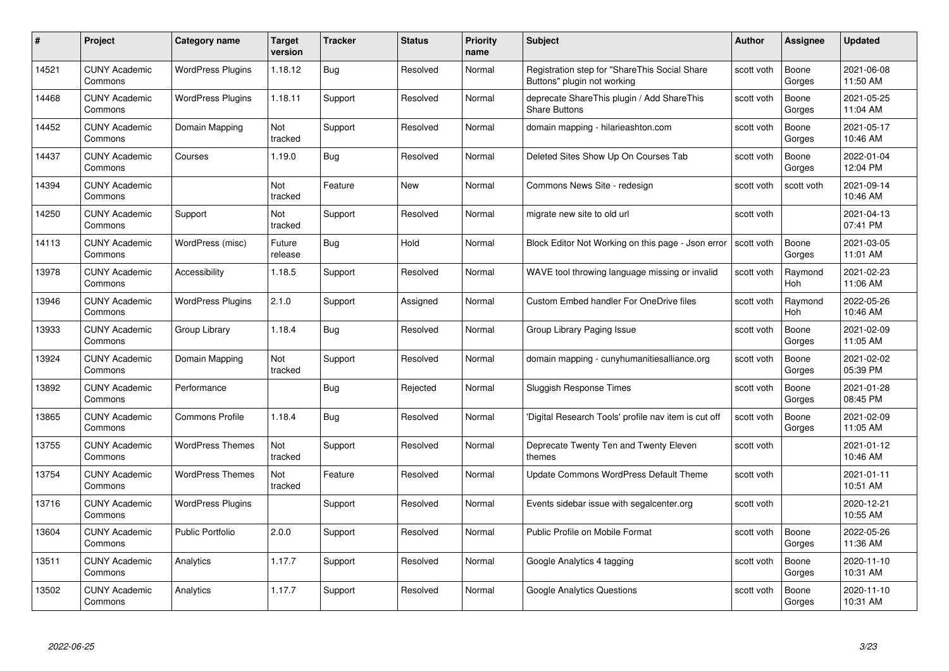| #     | Project                         | <b>Category name</b>     | Target<br>version | <b>Tracker</b> | <b>Status</b> | <b>Priority</b><br>name | <b>Subject</b>                                                               | <b>Author</b> | <b>Assignee</b>       | <b>Updated</b>         |
|-------|---------------------------------|--------------------------|-------------------|----------------|---------------|-------------------------|------------------------------------------------------------------------------|---------------|-----------------------|------------------------|
| 14521 | <b>CUNY Academic</b><br>Commons | <b>WordPress Plugins</b> | 1.18.12           | Bug            | Resolved      | Normal                  | Registration step for "ShareThis Social Share<br>Buttons" plugin not working | scott voth    | Boone<br>Gorges       | 2021-06-08<br>11:50 AM |
| 14468 | <b>CUNY Academic</b><br>Commons | <b>WordPress Plugins</b> | 1.18.11           | Support        | Resolved      | Normal                  | deprecate ShareThis plugin / Add ShareThis<br><b>Share Buttons</b>           | scott voth    | Boone<br>Gorges       | 2021-05-25<br>11:04 AM |
| 14452 | <b>CUNY Academic</b><br>Commons | Domain Mapping           | Not<br>tracked    | Support        | Resolved      | Normal                  | domain mapping - hilarieashton.com                                           | scott voth    | Boone<br>Gorges       | 2021-05-17<br>10:46 AM |
| 14437 | <b>CUNY Academic</b><br>Commons | Courses                  | 1.19.0            | <b>Bug</b>     | Resolved      | Normal                  | Deleted Sites Show Up On Courses Tab                                         | scott voth    | Boone<br>Gorges       | 2022-01-04<br>12:04 PM |
| 14394 | <b>CUNY Academic</b><br>Commons |                          | Not<br>tracked    | Feature        | New           | Normal                  | Commons News Site - redesign                                                 | scott voth    | scott voth            | 2021-09-14<br>10:46 AM |
| 14250 | <b>CUNY Academic</b><br>Commons | Support                  | Not<br>tracked    | Support        | Resolved      | Normal                  | migrate new site to old url                                                  | scott voth    |                       | 2021-04-13<br>07:41 PM |
| 14113 | <b>CUNY Academic</b><br>Commons | WordPress (misc)         | Future<br>release | Bug            | Hold          | Normal                  | Block Editor Not Working on this page - Json error                           | scott voth    | Boone<br>Gorges       | 2021-03-05<br>11:01 AM |
| 13978 | <b>CUNY Academic</b><br>Commons | Accessibility            | 1.18.5            | Support        | Resolved      | Normal                  | WAVE tool throwing language missing or invalid                               | scott voth    | Raymond<br><b>Hoh</b> | 2021-02-23<br>11:06 AM |
| 13946 | <b>CUNY Academic</b><br>Commons | <b>WordPress Plugins</b> | 2.1.0             | Support        | Assigned      | Normal                  | <b>Custom Embed handler For OneDrive files</b>                               | scott voth    | Raymond<br>Hoh        | 2022-05-26<br>10:46 AM |
| 13933 | <b>CUNY Academic</b><br>Commons | Group Library            | 1.18.4            | Bug            | Resolved      | Normal                  | Group Library Paging Issue                                                   | scott voth    | Boone<br>Gorges       | 2021-02-09<br>11:05 AM |
| 13924 | CUNY Academic<br>Commons        | Domain Mapping           | Not<br>tracked    | Support        | Resolved      | Normal                  | domain mapping - cunyhumanitiesalliance.org                                  | scott voth    | Boone<br>Gorges       | 2021-02-02<br>05:39 PM |
| 13892 | <b>CUNY Academic</b><br>Commons | Performance              |                   | <b>Bug</b>     | Rejected      | Normal                  | Sluggish Response Times                                                      | scott voth    | Boone<br>Gorges       | 2021-01-28<br>08:45 PM |
| 13865 | <b>CUNY Academic</b><br>Commons | <b>Commons Profile</b>   | 1.18.4            | Bug            | Resolved      | Normal                  | 'Digital Research Tools' profile nav item is cut off                         | scott voth    | Boone<br>Gorges       | 2021-02-09<br>11:05 AM |
| 13755 | <b>CUNY Academic</b><br>Commons | <b>WordPress Themes</b>  | Not<br>tracked    | Support        | Resolved      | Normal                  | Deprecate Twenty Ten and Twenty Eleven<br>themes                             | scott voth    |                       | 2021-01-12<br>10:46 AM |
| 13754 | <b>CUNY Academic</b><br>Commons | <b>WordPress Themes</b>  | Not<br>tracked    | Feature        | Resolved      | Normal                  | Update Commons WordPress Default Theme                                       | scott voth    |                       | 2021-01-11<br>10:51 AM |
| 13716 | <b>CUNY Academic</b><br>Commons | <b>WordPress Plugins</b> |                   | Support        | Resolved      | Normal                  | Events sidebar issue with segalcenter.org                                    | scott voth    |                       | 2020-12-21<br>10:55 AM |
| 13604 | <b>CUNY Academic</b><br>Commons | Public Portfolio         | 2.0.0             | Support        | Resolved      | Normal                  | Public Profile on Mobile Format                                              | scott voth    | Boone<br>Gorges       | 2022-05-26<br>11:36 AM |
| 13511 | <b>CUNY Academic</b><br>Commons | Analytics                | 1.17.7            | Support        | Resolved      | Normal                  | Google Analytics 4 tagging                                                   | scott voth    | Boone<br>Gorges       | 2020-11-10<br>10:31 AM |
| 13502 | CUNY Academic<br>Commons        | Analytics                | 1.17.7            | Support        | Resolved      | Normal                  | <b>Google Analytics Questions</b>                                            | scott voth    | Boone<br>Gorges       | 2020-11-10<br>10:31 AM |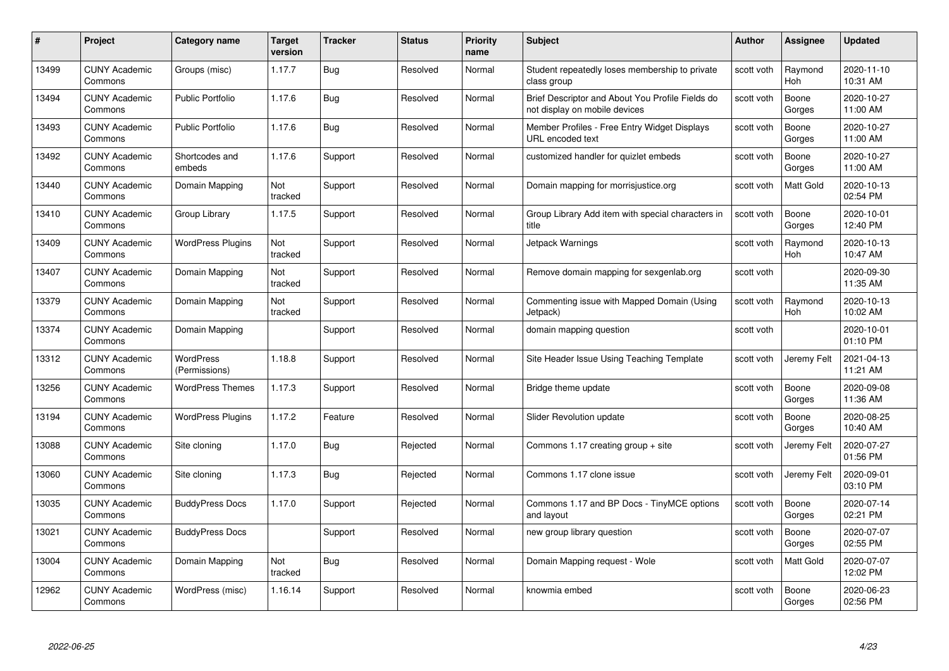| #     | Project                         | <b>Category name</b>       | Target<br>version | <b>Tracker</b> | <b>Status</b> | <b>Priority</b><br>name | <b>Subject</b>                                                                    | <b>Author</b> | <b>Assignee</b>       | <b>Updated</b>         |
|-------|---------------------------------|----------------------------|-------------------|----------------|---------------|-------------------------|-----------------------------------------------------------------------------------|---------------|-----------------------|------------------------|
| 13499 | <b>CUNY Academic</b><br>Commons | Groups (misc)              | 1.17.7            | Bug            | Resolved      | Normal                  | Student repeatedly loses membership to private<br>class group                     | scott voth    | Raymond<br><b>Hoh</b> | 2020-11-10<br>10:31 AM |
| 13494 | <b>CUNY Academic</b><br>Commons | Public Portfolio           | 1.17.6            | Bug            | Resolved      | Normal                  | Brief Descriptor and About You Profile Fields do<br>not display on mobile devices | scott voth    | Boone<br>Gorges       | 2020-10-27<br>11:00 AM |
| 13493 | <b>CUNY Academic</b><br>Commons | Public Portfolio           | 1.17.6            | <b>Bug</b>     | Resolved      | Normal                  | Member Profiles - Free Entry Widget Displays<br>URL encoded text                  | scott voth    | Boone<br>Gorges       | 2020-10-27<br>11:00 AM |
| 13492 | <b>CUNY Academic</b><br>Commons | Shortcodes and<br>embeds   | 1.17.6            | Support        | Resolved      | Normal                  | customized handler for quizlet embeds                                             | scott voth    | Boone<br>Gorges       | 2020-10-27<br>11:00 AM |
| 13440 | <b>CUNY Academic</b><br>Commons | Domain Mapping             | Not<br>tracked    | Support        | Resolved      | Normal                  | Domain mapping for morrisjustice.org                                              | scott voth    | <b>Matt Gold</b>      | 2020-10-13<br>02:54 PM |
| 13410 | <b>CUNY Academic</b><br>Commons | Group Library              | 1.17.5            | Support        | Resolved      | Normal                  | Group Library Add item with special characters in<br>title                        | scott voth    | Boone<br>Gorges       | 2020-10-01<br>12:40 PM |
| 13409 | <b>CUNY Academic</b><br>Commons | <b>WordPress Plugins</b>   | Not<br>tracked    | Support        | Resolved      | Normal                  | Jetpack Warnings                                                                  | scott voth    | Raymond<br>Hoh        | 2020-10-13<br>10:47 AM |
| 13407 | <b>CUNY Academic</b><br>Commons | Domain Mapping             | Not<br>tracked    | Support        | Resolved      | Normal                  | Remove domain mapping for sexgenlab.org                                           | scott voth    |                       | 2020-09-30<br>11:35 AM |
| 13379 | <b>CUNY Academic</b><br>Commons | Domain Mapping             | Not<br>tracked    | Support        | Resolved      | Normal                  | Commenting issue with Mapped Domain (Using<br>Jetpack)                            | scott voth    | Raymond<br>Hoh        | 2020-10-13<br>10:02 AM |
| 13374 | <b>CUNY Academic</b><br>Commons | Domain Mapping             |                   | Support        | Resolved      | Normal                  | domain mapping question                                                           | scott voth    |                       | 2020-10-01<br>01:10 PM |
| 13312 | CUNY Academic<br>Commons        | WordPress<br>(Permissions) | 1.18.8            | Support        | Resolved      | Normal                  | Site Header Issue Using Teaching Template                                         | scott voth    | Jeremy Felt           | 2021-04-13<br>11:21 AM |
| 13256 | <b>CUNY Academic</b><br>Commons | <b>WordPress Themes</b>    | 1.17.3            | Support        | Resolved      | Normal                  | Bridge theme update                                                               | scott voth    | Boone<br>Gorges       | 2020-09-08<br>11:36 AM |
| 13194 | <b>CUNY Academic</b><br>Commons | <b>WordPress Plugins</b>   | 1.17.2            | Feature        | Resolved      | Normal                  | Slider Revolution update                                                          | scott voth    | Boone<br>Gorges       | 2020-08-25<br>10:40 AM |
| 13088 | <b>CUNY Academic</b><br>Commons | Site cloning               | 1.17.0            | <b>Bug</b>     | Rejected      | Normal                  | Commons 1.17 creating group $+$ site                                              | scott voth    | Jeremy Felt           | 2020-07-27<br>01:56 PM |
| 13060 | <b>CUNY Academic</b><br>Commons | Site cloning               | 1.17.3            | Bug            | Rejected      | Normal                  | Commons 1.17 clone issue                                                          | scott voth    | Jeremy Felt           | 2020-09-01<br>03:10 PM |
| 13035 | <b>CUNY Academic</b><br>Commons | <b>BuddyPress Docs</b>     | 1.17.0            | Support        | Rejected      | Normal                  | Commons 1.17 and BP Docs - TinyMCE options<br>and layout                          | scott voth    | Boone<br>Gorges       | 2020-07-14<br>02:21 PM |
| 13021 | <b>CUNY Academic</b><br>Commons | <b>BuddyPress Docs</b>     |                   | Support        | Resolved      | Normal                  | new group library question                                                        | scott voth    | Boone<br>Gorges       | 2020-07-07<br>02:55 PM |
| 13004 | <b>CUNY Academic</b><br>Commons | Domain Mapping             | Not<br>tracked    | Bug            | Resolved      | Normal                  | Domain Mapping request - Wole                                                     | scott voth    | Matt Gold             | 2020-07-07<br>12:02 PM |
| 12962 | CUNY Academic<br>Commons        | WordPress (misc)           | 1.16.14           | Support        | Resolved      | Normal                  | knowmia embed                                                                     | scott voth    | Boone<br>Gorges       | 2020-06-23<br>02:56 PM |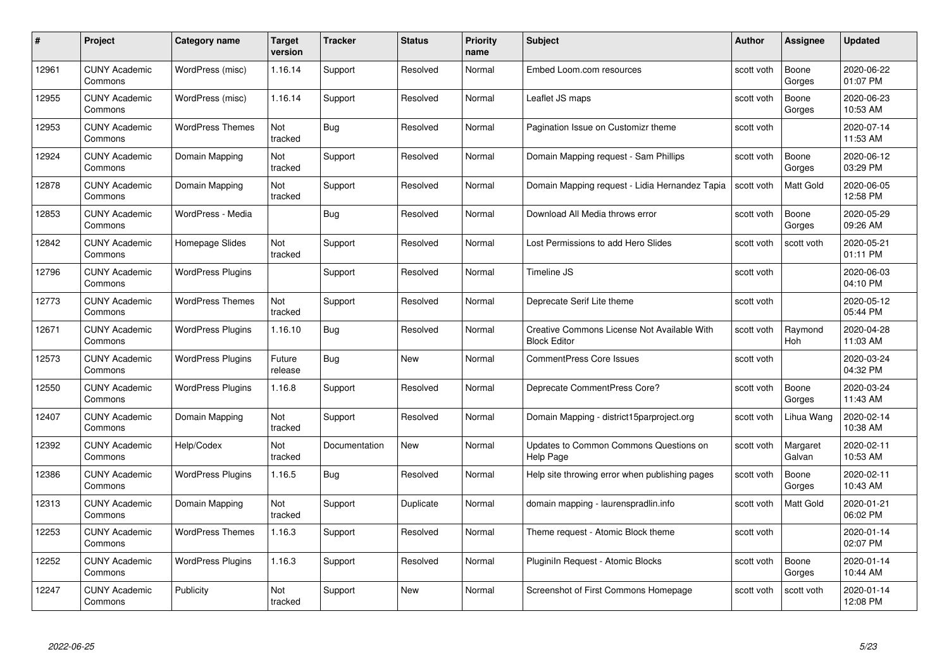| #     | Project                         | <b>Category name</b>     | Target<br>version     | <b>Tracker</b> | <b>Status</b> | <b>Priority</b><br>name | <b>Subject</b>                                                     | <b>Author</b> | <b>Assignee</b>    | <b>Updated</b>         |
|-------|---------------------------------|--------------------------|-----------------------|----------------|---------------|-------------------------|--------------------------------------------------------------------|---------------|--------------------|------------------------|
| 12961 | <b>CUNY Academic</b><br>Commons | WordPress (misc)         | 1.16.14               | Support        | Resolved      | Normal                  | Embed Loom.com resources                                           | scott voth    | Boone<br>Gorges    | 2020-06-22<br>01:07 PM |
| 12955 | <b>CUNY Academic</b><br>Commons | WordPress (misc)         | 1.16.14               | Support        | Resolved      | Normal                  | Leaflet JS maps                                                    | scott voth    | Boone<br>Gorges    | 2020-06-23<br>10:53 AM |
| 12953 | <b>CUNY Academic</b><br>Commons | <b>WordPress Themes</b>  | Not<br>tracked        | <b>Bug</b>     | Resolved      | Normal                  | Pagination Issue on Customizr theme                                | scott voth    |                    | 2020-07-14<br>11:53 AM |
| 12924 | <b>CUNY Academic</b><br>Commons | Domain Mapping           | Not<br>tracked        | Support        | Resolved      | Normal                  | Domain Mapping request - Sam Phillips                              | scott voth    | Boone<br>Gorges    | 2020-06-12<br>03:29 PM |
| 12878 | <b>CUNY Academic</b><br>Commons | Domain Mapping           | <b>Not</b><br>tracked | Support        | Resolved      | Normal                  | Domain Mapping request - Lidia Hernandez Tapia                     | scott voth    | <b>Matt Gold</b>   | 2020-06-05<br>12:58 PM |
| 12853 | <b>CUNY Academic</b><br>Commons | WordPress - Media        |                       | Bug            | Resolved      | Normal                  | Download All Media throws error                                    | scott voth    | Boone<br>Gorges    | 2020-05-29<br>09:26 AM |
| 12842 | <b>CUNY Academic</b><br>Commons | Homepage Slides          | Not<br>tracked        | Support        | Resolved      | Normal                  | Lost Permissions to add Hero Slides                                | scott voth    | scott voth         | 2020-05-21<br>01:11 PM |
| 12796 | <b>CUNY Academic</b><br>Commons | <b>WordPress Plugins</b> |                       | Support        | Resolved      | Normal                  | Timeline JS                                                        | scott voth    |                    | 2020-06-03<br>04:10 PM |
| 12773 | <b>CUNY Academic</b><br>Commons | <b>WordPress Themes</b>  | Not<br>tracked        | Support        | Resolved      | Normal                  | Deprecate Serif Lite theme                                         | scott voth    |                    | 2020-05-12<br>05:44 PM |
| 12671 | <b>CUNY Academic</b><br>Commons | <b>WordPress Plugins</b> | 1.16.10               | Bug            | Resolved      | Normal                  | Creative Commons License Not Available With<br><b>Block Editor</b> | scott voth    | Raymond<br>Hoh     | 2020-04-28<br>11:03 AM |
| 12573 | <b>CUNY Academic</b><br>Commons | <b>WordPress Plugins</b> | Future<br>release     | Bug            | New           | Normal                  | <b>CommentPress Core Issues</b>                                    | scott voth    |                    | 2020-03-24<br>04:32 PM |
| 12550 | <b>CUNY Academic</b><br>Commons | <b>WordPress Plugins</b> | 1.16.8                | Support        | Resolved      | Normal                  | Deprecate CommentPress Core?                                       | scott voth    | Boone<br>Gorges    | 2020-03-24<br>11:43 AM |
| 12407 | <b>CUNY Academic</b><br>Commons | Domain Mapping           | Not<br>tracked        | Support        | Resolved      | Normal                  | Domain Mapping - district15parproject.org                          | scott voth    | Lihua Wang         | 2020-02-14<br>10:38 AM |
| 12392 | <b>CUNY Academic</b><br>Commons | Help/Codex               | Not<br>tracked        | Documentation  | New           | Normal                  | Updates to Common Commons Questions on<br>Help Page                | scott voth    | Margaret<br>Galvan | 2020-02-11<br>10:53 AM |
| 12386 | <b>CUNY Academic</b><br>Commons | <b>WordPress Plugins</b> | 1.16.5                | Bug            | Resolved      | Normal                  | Help site throwing error when publishing pages                     | scott voth    | Boone<br>Gorges    | 2020-02-11<br>10:43 AM |
| 12313 | <b>CUNY Academic</b><br>Commons | Domain Mapping           | Not<br>tracked        | Support        | Duplicate     | Normal                  | domain mapping - laurenspradlin.info                               | scott voth    | Matt Gold          | 2020-01-21<br>06:02 PM |
| 12253 | <b>CUNY Academic</b><br>Commons | <b>WordPress Themes</b>  | 1.16.3                | Support        | Resolved      | Normal                  | Theme request - Atomic Block theme                                 | scott voth    |                    | 2020-01-14<br>02:07 PM |
| 12252 | <b>CUNY Academic</b><br>Commons | <b>WordPress Plugins</b> | 1.16.3                | Support        | Resolved      | Normal                  | Pluginiln Request - Atomic Blocks                                  | scott voth    | Boone<br>Gorges    | 2020-01-14<br>10:44 AM |
| 12247 | <b>CUNY Academic</b><br>Commons | Publicity                | Not<br>tracked        | Support        | <b>New</b>    | Normal                  | Screenshot of First Commons Homepage                               | scott voth    | scott voth         | 2020-01-14<br>12:08 PM |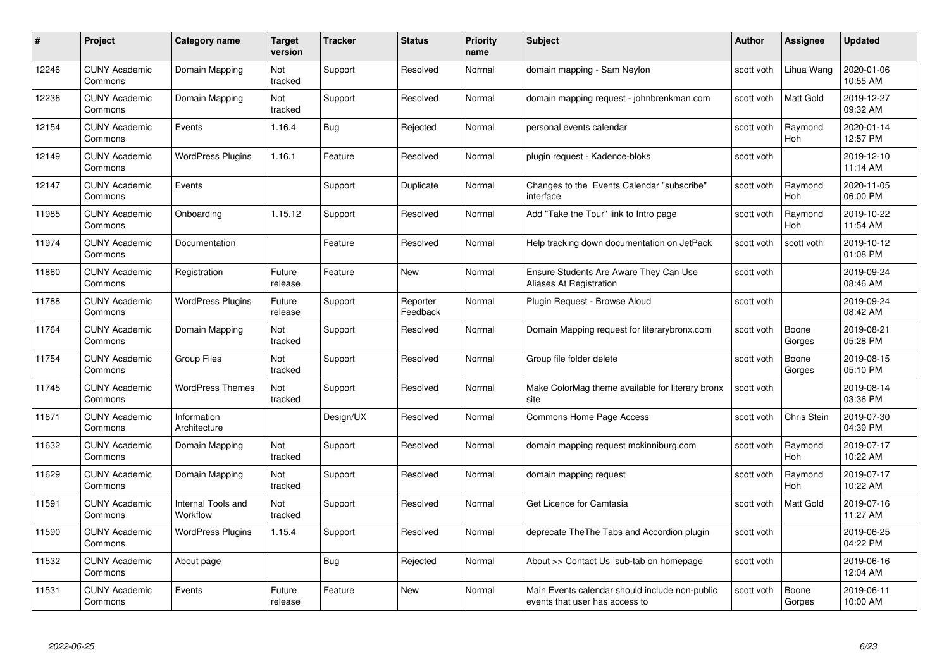| #     | Project                         | <b>Category name</b>           | Target<br>version | <b>Tracker</b> | <b>Status</b>        | <b>Priority</b><br>name | <b>Subject</b>                                                                   | <b>Author</b> | <b>Assignee</b>       | <b>Updated</b>         |
|-------|---------------------------------|--------------------------------|-------------------|----------------|----------------------|-------------------------|----------------------------------------------------------------------------------|---------------|-----------------------|------------------------|
| 12246 | <b>CUNY Academic</b><br>Commons | Domain Mapping                 | Not<br>tracked    | Support        | Resolved             | Normal                  | domain mapping - Sam Neylon                                                      | scott voth    | Lihua Wang            | 2020-01-06<br>10:55 AM |
| 12236 | <b>CUNY Academic</b><br>Commons | Domain Mapping                 | Not<br>tracked    | Support        | Resolved             | Normal                  | domain mapping request - johnbrenkman.com                                        | scott voth    | <b>Matt Gold</b>      | 2019-12-27<br>09:32 AM |
| 12154 | <b>CUNY Academic</b><br>Commons | Events                         | 1.16.4            | Bug            | Rejected             | Normal                  | personal events calendar                                                         | scott voth    | Raymond<br>Hoh        | 2020-01-14<br>12:57 PM |
| 12149 | <b>CUNY Academic</b><br>Commons | <b>WordPress Plugins</b>       | 1.16.1            | Feature        | Resolved             | Normal                  | plugin request - Kadence-bloks                                                   | scott voth    |                       | 2019-12-10<br>11:14 AM |
| 12147 | <b>CUNY Academic</b><br>Commons | Events                         |                   | Support        | Duplicate            | Normal                  | Changes to the Events Calendar "subscribe"<br>interface                          | scott voth    | Raymond<br>Hoh        | 2020-11-05<br>06:00 PM |
| 11985 | <b>CUNY Academic</b><br>Commons | Onboarding                     | 1.15.12           | Support        | Resolved             | Normal                  | Add "Take the Tour" link to Intro page                                           | scott voth    | Raymond<br>Hoh        | 2019-10-22<br>11:54 AM |
| 11974 | <b>CUNY Academic</b><br>Commons | Documentation                  |                   | Feature        | Resolved             | Normal                  | Help tracking down documentation on JetPack                                      | scott voth    | scott voth            | 2019-10-12<br>01:08 PM |
| 11860 | <b>CUNY Academic</b><br>Commons | Registration                   | Future<br>release | Feature        | <b>New</b>           | Normal                  | Ensure Students Are Aware They Can Use<br>Aliases At Registration                | scott voth    |                       | 2019-09-24<br>08:46 AM |
| 11788 | <b>CUNY Academic</b><br>Commons | <b>WordPress Plugins</b>       | Future<br>release | Support        | Reporter<br>Feedback | Normal                  | Plugin Request - Browse Aloud                                                    | scott voth    |                       | 2019-09-24<br>08:42 AM |
| 11764 | <b>CUNY Academic</b><br>Commons | Domain Mapping                 | Not<br>tracked    | Support        | Resolved             | Normal                  | Domain Mapping request for literarybronx.com                                     | scott voth    | Boone<br>Gorges       | 2019-08-21<br>05:28 PM |
| 11754 | <b>CUNY Academic</b><br>Commons | <b>Group Files</b>             | Not<br>tracked    | Support        | Resolved             | Normal                  | Group file folder delete                                                         | scott voth    | Boone<br>Gorges       | 2019-08-15<br>05:10 PM |
| 11745 | <b>CUNY Academic</b><br>Commons | <b>WordPress Themes</b>        | Not<br>tracked    | Support        | Resolved             | Normal                  | Make ColorMag theme available for literary bronx<br>site                         | scott voth    |                       | 2019-08-14<br>03:36 PM |
| 11671 | <b>CUNY Academic</b><br>Commons | Information<br>Architecture    |                   | Design/UX      | Resolved             | Normal                  | Commons Home Page Access                                                         | scott voth    | Chris Stein           | 2019-07-30<br>04:39 PM |
| 11632 | <b>CUNY Academic</b><br>Commons | Domain Mapping                 | Not<br>tracked    | Support        | Resolved             | Normal                  | domain mapping request mckinniburg.com                                           | scott voth    | Raymond<br>Hoh        | 2019-07-17<br>10:22 AM |
| 11629 | CUNY Academic<br>Commons        | Domain Mapping                 | Not<br>tracked    | Support        | Resolved             | Normal                  | domain mapping request                                                           | scott voth    | Raymond<br><b>Hoh</b> | 2019-07-17<br>10:22 AM |
| 11591 | <b>CUNY Academic</b><br>Commons | Internal Tools and<br>Workflow | Not<br>tracked    | Support        | Resolved             | Normal                  | Get Licence for Camtasia                                                         | scott voth    | Matt Gold             | 2019-07-16<br>11:27 AM |
| 11590 | <b>CUNY Academic</b><br>Commons | <b>WordPress Plugins</b>       | 1.15.4            | Support        | Resolved             | Normal                  | deprecate The The Tabs and Accordion plugin                                      | scott voth    |                       | 2019-06-25<br>04:22 PM |
| 11532 | <b>CUNY Academic</b><br>Commons | About page                     |                   | Bug            | Rejected             | Normal                  | About >> Contact Us sub-tab on homepage                                          | scott voth    |                       | 2019-06-16<br>12:04 AM |
| 11531 | <b>CUNY Academic</b><br>Commons | Events                         | Future<br>release | Feature        | <b>New</b>           | Normal                  | Main Events calendar should include non-public<br>events that user has access to | scott voth    | Boone<br>Gorges       | 2019-06-11<br>10:00 AM |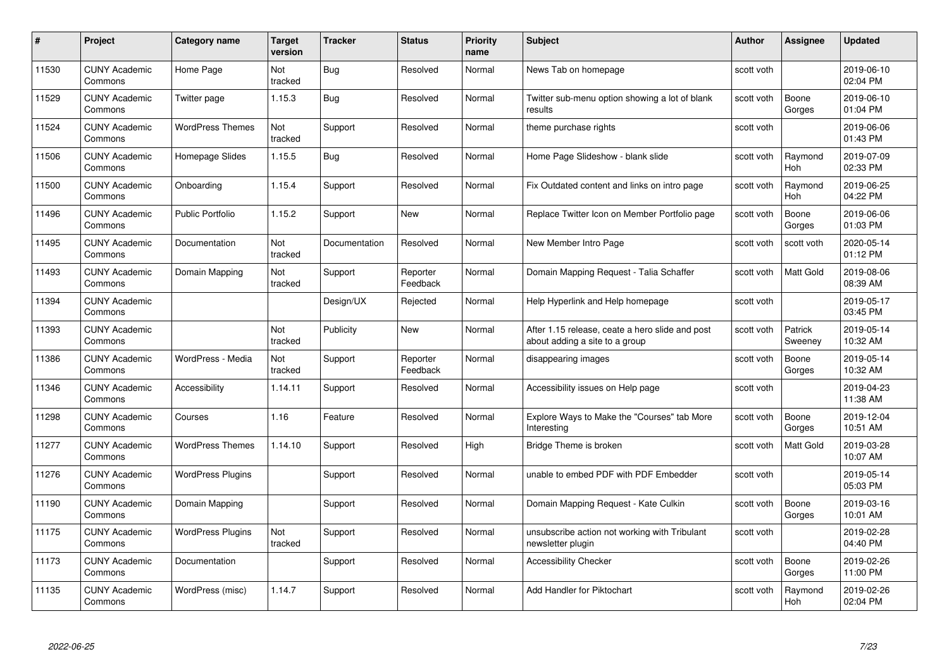| #     | Project                         | <b>Category name</b>     | Target<br>version | <b>Tracker</b> | <b>Status</b>        | <b>Priority</b><br>name | <b>Subject</b>                                                                    | <b>Author</b> | <b>Assignee</b>    | <b>Updated</b>         |
|-------|---------------------------------|--------------------------|-------------------|----------------|----------------------|-------------------------|-----------------------------------------------------------------------------------|---------------|--------------------|------------------------|
| 11530 | <b>CUNY Academic</b><br>Commons | Home Page                | Not<br>tracked    | Bug            | Resolved             | Normal                  | News Tab on homepage                                                              | scott voth    |                    | 2019-06-10<br>02:04 PM |
| 11529 | <b>CUNY Academic</b><br>Commons | Twitter page             | 1.15.3            | Bug            | Resolved             | Normal                  | Twitter sub-menu option showing a lot of blank<br>results                         | scott voth    | Boone<br>Gorges    | 2019-06-10<br>01:04 PM |
| 11524 | <b>CUNY Academic</b><br>Commons | <b>WordPress Themes</b>  | Not<br>tracked    | Support        | Resolved             | Normal                  | theme purchase rights                                                             | scott voth    |                    | 2019-06-06<br>01:43 PM |
| 11506 | <b>CUNY Academic</b><br>Commons | Homepage Slides          | 1.15.5            | <b>Bug</b>     | Resolved             | Normal                  | Home Page Slideshow - blank slide                                                 | scott voth    | Raymond<br>Hoh     | 2019-07-09<br>02:33 PM |
| 11500 | <b>CUNY Academic</b><br>Commons | Onboarding               | 1.15.4            | Support        | Resolved             | Normal                  | Fix Outdated content and links on intro page                                      | scott voth    | Raymond<br>Hoh     | 2019-06-25<br>04:22 PM |
| 11496 | <b>CUNY Academic</b><br>Commons | Public Portfolio         | 1.15.2            | Support        | <b>New</b>           | Normal                  | Replace Twitter Icon on Member Portfolio page                                     | scott voth    | Boone<br>Gorges    | 2019-06-06<br>01:03 PM |
| 11495 | <b>CUNY Academic</b><br>Commons | Documentation            | Not<br>tracked    | Documentation  | Resolved             | Normal                  | New Member Intro Page                                                             | scott voth    | scott voth         | 2020-05-14<br>01:12 PM |
| 11493 | <b>CUNY Academic</b><br>Commons | Domain Mapping           | Not<br>tracked    | Support        | Reporter<br>Feedback | Normal                  | Domain Mapping Request - Talia Schaffer                                           | scott voth    | Matt Gold          | 2019-08-06<br>08:39 AM |
| 11394 | <b>CUNY Academic</b><br>Commons |                          |                   | Design/UX      | Rejected             | Normal                  | Help Hyperlink and Help homepage                                                  | scott voth    |                    | 2019-05-17<br>03:45 PM |
| 11393 | <b>CUNY Academic</b><br>Commons |                          | Not<br>tracked    | Publicity      | New                  | Normal                  | After 1.15 release, ceate a hero slide and post<br>about adding a site to a group | scott voth    | Patrick<br>Sweeney | 2019-05-14<br>10:32 AM |
| 11386 | CUNY Academic<br>Commons        | WordPress - Media        | Not<br>tracked    | Support        | Reporter<br>Feedback | Normal                  | disappearing images                                                               | scott voth    | Boone<br>Gorges    | 2019-05-14<br>10:32 AM |
| 11346 | <b>CUNY Academic</b><br>Commons | Accessibility            | 1.14.11           | Support        | Resolved             | Normal                  | Accessibility issues on Help page                                                 | scott voth    |                    | 2019-04-23<br>11:38 AM |
| 11298 | <b>CUNY Academic</b><br>Commons | Courses                  | 1.16              | Feature        | Resolved             | Normal                  | Explore Ways to Make the "Courses" tab More<br>Interesting                        | scott voth    | Boone<br>Gorges    | 2019-12-04<br>10:51 AM |
| 11277 | <b>CUNY Academic</b><br>Commons | <b>WordPress Themes</b>  | 1.14.10           | Support        | Resolved             | High                    | Bridge Theme is broken                                                            | scott voth    | Matt Gold          | 2019-03-28<br>10:07 AM |
| 11276 | <b>CUNY Academic</b><br>Commons | <b>WordPress Plugins</b> |                   | Support        | Resolved             | Normal                  | unable to embed PDF with PDF Embedder                                             | scott voth    |                    | 2019-05-14<br>05:03 PM |
| 11190 | <b>CUNY Academic</b><br>Commons | Domain Mapping           |                   | Support        | Resolved             | Normal                  | Domain Mapping Request - Kate Culkin                                              | scott voth    | Boone<br>Gorges    | 2019-03-16<br>10:01 AM |
| 11175 | <b>CUNY Academic</b><br>Commons | <b>WordPress Plugins</b> | Not<br>tracked    | Support        | Resolved             | Normal                  | unsubscribe action not working with Tribulant<br>newsletter plugin                | scott voth    |                    | 2019-02-28<br>04:40 PM |
| 11173 | <b>CUNY Academic</b><br>Commons | Documentation            |                   | Support        | Resolved             | Normal                  | <b>Accessibility Checker</b>                                                      | scott voth    | Boone<br>Gorges    | 2019-02-26<br>11:00 PM |
| 11135 | CUNY Academic<br>Commons        | WordPress (misc)         | 1.14.7            | Support        | Resolved             | Normal                  | Add Handler for Piktochart                                                        | scott voth    | Raymond<br>Hoh     | 2019-02-26<br>02:04 PM |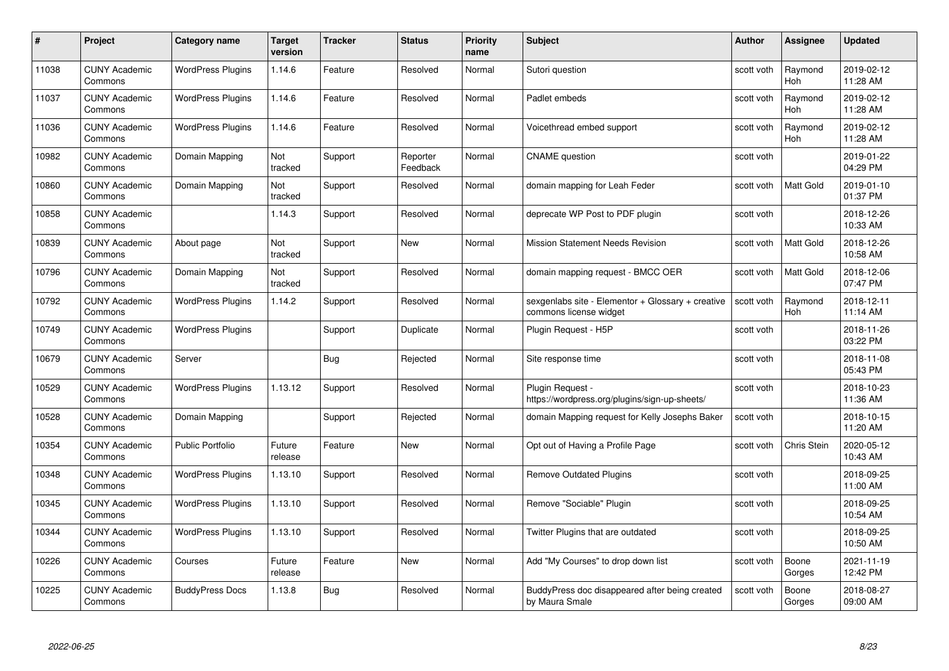| #     | Project                         | <b>Category name</b>     | Target<br>version | <b>Tracker</b> | <b>Status</b>        | <b>Priority</b><br>name | <b>Subject</b>                                                              | <b>Author</b> | <b>Assignee</b>       | <b>Updated</b>         |
|-------|---------------------------------|--------------------------|-------------------|----------------|----------------------|-------------------------|-----------------------------------------------------------------------------|---------------|-----------------------|------------------------|
| 11038 | <b>CUNY Academic</b><br>Commons | <b>WordPress Plugins</b> | 1.14.6            | Feature        | Resolved             | Normal                  | Sutori question                                                             | scott voth    | Raymond<br><b>Hoh</b> | 2019-02-12<br>11:28 AM |
| 11037 | <b>CUNY Academic</b><br>Commons | <b>WordPress Plugins</b> | 1.14.6            | Feature        | Resolved             | Normal                  | Padlet embeds                                                               | scott voth    | Raymond<br><b>Hoh</b> | 2019-02-12<br>11:28 AM |
| 11036 | <b>CUNY Academic</b><br>Commons | <b>WordPress Plugins</b> | 1.14.6            | Feature        | Resolved             | Normal                  | Voicethread embed support                                                   | scott voth    | Raymond<br>Hoh        | 2019-02-12<br>11:28 AM |
| 10982 | <b>CUNY Academic</b><br>Commons | Domain Mapping           | Not<br>tracked    | Support        | Reporter<br>Feedback | Normal                  | <b>CNAME</b> question                                                       | scott voth    |                       | 2019-01-22<br>04:29 PM |
| 10860 | <b>CUNY Academic</b><br>Commons | Domain Mapping           | Not<br>tracked    | Support        | Resolved             | Normal                  | domain mapping for Leah Feder                                               | scott voth    | <b>Matt Gold</b>      | 2019-01-10<br>01:37 PM |
| 10858 | <b>CUNY Academic</b><br>Commons |                          | 1.14.3            | Support        | Resolved             | Normal                  | deprecate WP Post to PDF plugin                                             | scott voth    |                       | 2018-12-26<br>10:33 AM |
| 10839 | <b>CUNY Academic</b><br>Commons | About page               | Not<br>tracked    | Support        | New                  | Normal                  | <b>Mission Statement Needs Revision</b>                                     | scott voth    | Matt Gold             | 2018-12-26<br>10:58 AM |
| 10796 | <b>CUNY Academic</b><br>Commons | Domain Mapping           | Not<br>tracked    | Support        | Resolved             | Normal                  | domain mapping request - BMCC OER                                           | scott voth    | Matt Gold             | 2018-12-06<br>07:47 PM |
| 10792 | <b>CUNY Academic</b><br>Commons | <b>WordPress Plugins</b> | 1.14.2            | Support        | Resolved             | Normal                  | sexgenlabs site - Elementor + Glossary + creative<br>commons license widget | scott voth    | Raymond<br>Hoh        | 2018-12-11<br>11:14 AM |
| 10749 | <b>CUNY Academic</b><br>Commons | <b>WordPress Plugins</b> |                   | Support        | Duplicate            | Normal                  | Plugin Request - H5P                                                        | scott voth    |                       | 2018-11-26<br>03:22 PM |
| 10679 | CUNY Academic<br>Commons        | Server                   |                   | Bug            | Rejected             | Normal                  | Site response time                                                          | scott voth    |                       | 2018-11-08<br>05:43 PM |
| 10529 | <b>CUNY Academic</b><br>Commons | <b>WordPress Plugins</b> | 1.13.12           | Support        | Resolved             | Normal                  | Plugin Request -<br>https://wordpress.org/plugins/sign-up-sheets/           | scott voth    |                       | 2018-10-23<br>11:36 AM |
| 10528 | <b>CUNY Academic</b><br>Commons | Domain Mapping           |                   | Support        | Rejected             | Normal                  | domain Mapping request for Kelly Josephs Baker                              | scott voth    |                       | 2018-10-15<br>11:20 AM |
| 10354 | <b>CUNY Academic</b><br>Commons | <b>Public Portfolio</b>  | Future<br>release | Feature        | New                  | Normal                  | Opt out of Having a Profile Page                                            | scott voth    | Chris Stein           | 2020-05-12<br>10:43 AM |
| 10348 | <b>CUNY Academic</b><br>Commons | <b>WordPress Plugins</b> | 1.13.10           | Support        | Resolved             | Normal                  | <b>Remove Outdated Plugins</b>                                              | scott voth    |                       | 2018-09-25<br>11:00 AM |
| 10345 | <b>CUNY Academic</b><br>Commons | <b>WordPress Plugins</b> | 1.13.10           | Support        | Resolved             | Normal                  | Remove "Sociable" Plugin                                                    | scott voth    |                       | 2018-09-25<br>10:54 AM |
| 10344 | <b>CUNY Academic</b><br>Commons | <b>WordPress Plugins</b> | 1.13.10           | Support        | Resolved             | Normal                  | Twitter Plugins that are outdated                                           | scott voth    |                       | 2018-09-25<br>10:50 AM |
| 10226 | <b>CUNY Academic</b><br>Commons | Courses                  | Future<br>release | Feature        | <b>New</b>           | Normal                  | Add "My Courses" to drop down list                                          | scott voth    | Boone<br>Gorges       | 2021-11-19<br>12:42 PM |
| 10225 | <b>CUNY Academic</b><br>Commons | <b>BuddyPress Docs</b>   | 1.13.8            | Bug            | Resolved             | Normal                  | BuddyPress doc disappeared after being created<br>by Maura Smale            | scott voth    | Boone<br>Gorges       | 2018-08-27<br>09:00 AM |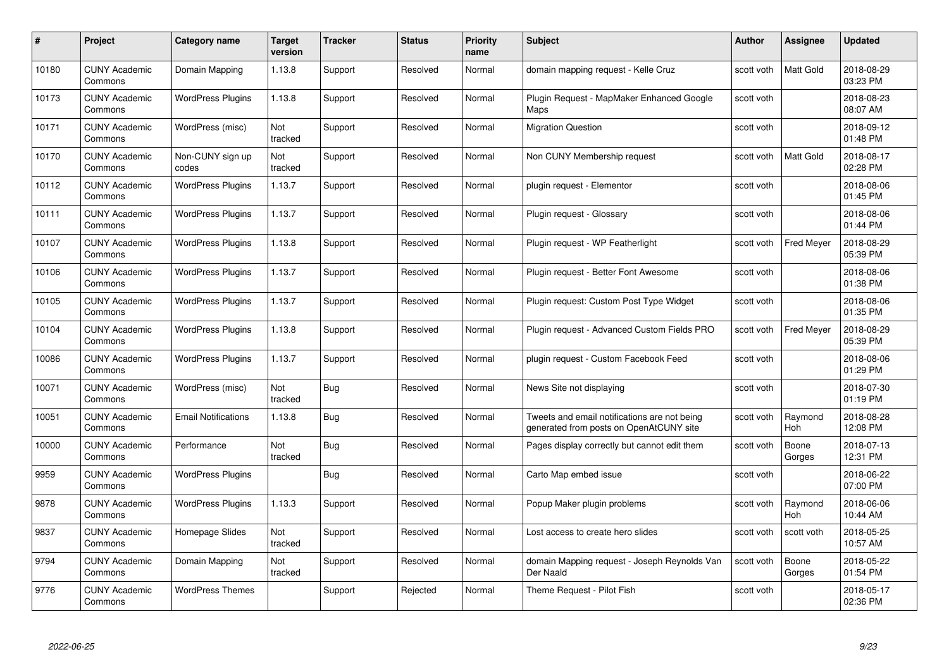| #     | Project                         | <b>Category name</b>       | Target<br>version | <b>Tracker</b> | <b>Status</b> | <b>Priority</b><br>name | <b>Subject</b>                                                                          | <b>Author</b> | <b>Assignee</b>       | <b>Updated</b>         |
|-------|---------------------------------|----------------------------|-------------------|----------------|---------------|-------------------------|-----------------------------------------------------------------------------------------|---------------|-----------------------|------------------------|
| 10180 | <b>CUNY Academic</b><br>Commons | Domain Mapping             | 1.13.8            | Support        | Resolved      | Normal                  | domain mapping request - Kelle Cruz                                                     | scott voth    | <b>Matt Gold</b>      | 2018-08-29<br>03:23 PM |
| 10173 | <b>CUNY Academic</b><br>Commons | <b>WordPress Plugins</b>   | 1.13.8            | Support        | Resolved      | Normal                  | Plugin Request - MapMaker Enhanced Google<br>Maps                                       | scott voth    |                       | 2018-08-23<br>08:07 AM |
| 10171 | <b>CUNY Academic</b><br>Commons | WordPress (misc)           | Not<br>tracked    | Support        | Resolved      | Normal                  | <b>Migration Question</b>                                                               | scott voth    |                       | 2018-09-12<br>01:48 PM |
| 10170 | <b>CUNY Academic</b><br>Commons | Non-CUNY sign up<br>codes  | Not<br>tracked    | Support        | Resolved      | Normal                  | Non CUNY Membership request                                                             | scott voth    | Matt Gold             | 2018-08-17<br>02:28 PM |
| 10112 | <b>CUNY Academic</b><br>Commons | <b>WordPress Plugins</b>   | 1.13.7            | Support        | Resolved      | Normal                  | plugin request - Elementor                                                              | scott voth    |                       | 2018-08-06<br>01:45 PM |
| 10111 | <b>CUNY Academic</b><br>Commons | <b>WordPress Plugins</b>   | 1.13.7            | Support        | Resolved      | Normal                  | Plugin request - Glossary                                                               | scott voth    |                       | 2018-08-06<br>01:44 PM |
| 10107 | <b>CUNY Academic</b><br>Commons | <b>WordPress Plugins</b>   | 1.13.8            | Support        | Resolved      | Normal                  | Plugin request - WP Featherlight                                                        | scott voth    | <b>Fred Meyer</b>     | 2018-08-29<br>05:39 PM |
| 10106 | <b>CUNY Academic</b><br>Commons | <b>WordPress Plugins</b>   | 1.13.7            | Support        | Resolved      | Normal                  | Plugin request - Better Font Awesome                                                    | scott voth    |                       | 2018-08-06<br>01:38 PM |
| 10105 | <b>CUNY Academic</b><br>Commons | <b>WordPress Plugins</b>   | 1.13.7            | Support        | Resolved      | Normal                  | Plugin request: Custom Post Type Widget                                                 | scott voth    |                       | 2018-08-06<br>01:35 PM |
| 10104 | <b>CUNY Academic</b><br>Commons | <b>WordPress Plugins</b>   | 1.13.8            | Support        | Resolved      | Normal                  | Plugin request - Advanced Custom Fields PRO                                             | scott voth    | <b>Fred Meyer</b>     | 2018-08-29<br>05:39 PM |
| 10086 | CUNY Academic<br>Commons        | <b>WordPress Plugins</b>   | 1.13.7            | Support        | Resolved      | Normal                  | plugin request - Custom Facebook Feed                                                   | scott voth    |                       | 2018-08-06<br>01:29 PM |
| 10071 | <b>CUNY Academic</b><br>Commons | WordPress (misc)           | Not<br>tracked    | Bug            | Resolved      | Normal                  | News Site not displaying                                                                | scott voth    |                       | 2018-07-30<br>01:19 PM |
| 10051 | <b>CUNY Academic</b><br>Commons | <b>Email Notifications</b> | 1.13.8            | <b>Bug</b>     | Resolved      | Normal                  | Tweets and email notifications are not being<br>generated from posts on OpenAtCUNY site | scott voth    | Raymond<br><b>Hoh</b> | 2018-08-28<br>12:08 PM |
| 10000 | <b>CUNY Academic</b><br>Commons | Performance                | Not<br>tracked    | <b>Bug</b>     | Resolved      | Normal                  | Pages display correctly but cannot edit them                                            | scott voth    | Boone<br>Gorges       | 2018-07-13<br>12:31 PM |
| 9959  | <b>CUNY Academic</b><br>Commons | <b>WordPress Plugins</b>   |                   | Bug            | Resolved      | Normal                  | Carto Map embed issue                                                                   | scott voth    |                       | 2018-06-22<br>07:00 PM |
| 9878  | <b>CUNY Academic</b><br>Commons | <b>WordPress Plugins</b>   | 1.13.3            | Support        | Resolved      | Normal                  | Popup Maker plugin problems                                                             | scott voth    | Raymond<br><b>Hoh</b> | 2018-06-06<br>10:44 AM |
| 9837  | <b>CUNY Academic</b><br>Commons | Homepage Slides            | Not<br>tracked    | Support        | Resolved      | Normal                  | Lost access to create hero slides                                                       | scott voth    | scott voth            | 2018-05-25<br>10:57 AM |
| 9794  | <b>CUNY Academic</b><br>Commons | Domain Mapping             | Not<br>tracked    | Support        | Resolved      | Normal                  | domain Mapping request - Joseph Reynolds Van<br>Der Naald                               | scott voth    | Boone<br>Gorges       | 2018-05-22<br>01:54 PM |
| 9776  | <b>CUNY Academic</b><br>Commons | <b>WordPress Themes</b>    |                   | Support        | Rejected      | Normal                  | Theme Request - Pilot Fish                                                              | scott voth    |                       | 2018-05-17<br>02:36 PM |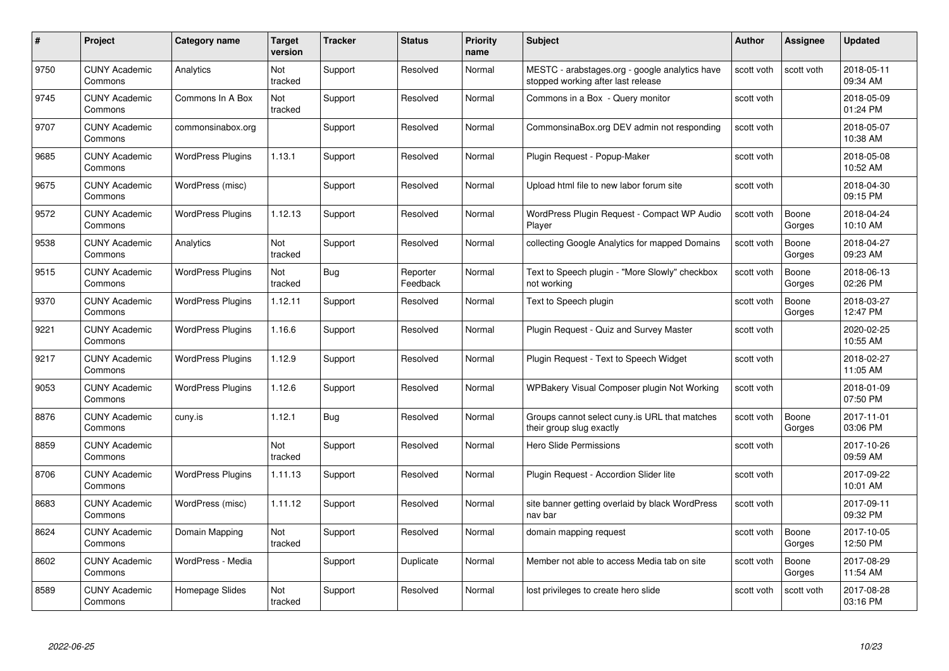| #    | Project                         | <b>Category name</b>     | Target<br>version | <b>Tracker</b> | <b>Status</b>        | <b>Priority</b><br>name | <b>Subject</b>                                                                       | <b>Author</b> | <b>Assignee</b> | <b>Updated</b>         |
|------|---------------------------------|--------------------------|-------------------|----------------|----------------------|-------------------------|--------------------------------------------------------------------------------------|---------------|-----------------|------------------------|
| 9750 | <b>CUNY Academic</b><br>Commons | Analytics                | Not<br>tracked    | Support        | Resolved             | Normal                  | MESTC - arabstages.org - google analytics have<br>stopped working after last release | scott voth    | scott voth      | 2018-05-11<br>09:34 AM |
| 9745 | <b>CUNY Academic</b><br>Commons | Commons In A Box         | Not<br>tracked    | Support        | Resolved             | Normal                  | Commons in a Box - Query monitor                                                     | scott voth    |                 | 2018-05-09<br>01:24 PM |
| 9707 | <b>CUNY Academic</b><br>Commons | commonsinabox.org        |                   | Support        | Resolved             | Normal                  | CommonsinaBox.org DEV admin not responding                                           | scott voth    |                 | 2018-05-07<br>10:38 AM |
| 9685 | <b>CUNY Academic</b><br>Commons | <b>WordPress Plugins</b> | 1.13.1            | Support        | Resolved             | Normal                  | Plugin Request - Popup-Maker                                                         | scott voth    |                 | 2018-05-08<br>10:52 AM |
| 9675 | CUNY Academic<br>Commons        | WordPress (misc)         |                   | Support        | Resolved             | Normal                  | Upload html file to new labor forum site                                             | scott voth    |                 | 2018-04-30<br>09:15 PM |
| 9572 | <b>CUNY Academic</b><br>Commons | <b>WordPress Plugins</b> | 1.12.13           | Support        | Resolved             | Normal                  | WordPress Plugin Request - Compact WP Audio<br>Player                                | scott voth    | Boone<br>Gorges | 2018-04-24<br>10:10 AM |
| 9538 | <b>CUNY Academic</b><br>Commons | Analytics                | Not<br>tracked    | Support        | Resolved             | Normal                  | collecting Google Analytics for mapped Domains                                       | scott voth    | Boone<br>Gorges | 2018-04-27<br>09:23 AM |
| 9515 | <b>CUNY Academic</b><br>Commons | <b>WordPress Plugins</b> | Not<br>tracked    | <b>Bug</b>     | Reporter<br>Feedback | Normal                  | Text to Speech plugin - "More Slowly" checkbox<br>not working                        | scott voth    | Boone<br>Gorges | 2018-06-13<br>02:26 PM |
| 9370 | <b>CUNY Academic</b><br>Commons | <b>WordPress Plugins</b> | 1.12.11           | Support        | Resolved             | Normal                  | Text to Speech plugin                                                                | scott voth    | Boone<br>Gorges | 2018-03-27<br>12:47 PM |
| 9221 | <b>CUNY Academic</b><br>Commons | <b>WordPress Plugins</b> | 1.16.6            | Support        | Resolved             | Normal                  | Plugin Request - Quiz and Survey Master                                              | scott voth    |                 | 2020-02-25<br>10:55 AM |
| 9217 | CUNY Academic<br>Commons        | <b>WordPress Plugins</b> | 1.12.9            | Support        | Resolved             | Normal                  | Plugin Request - Text to Speech Widget                                               | scott voth    |                 | 2018-02-27<br>11:05 AM |
| 9053 | <b>CUNY Academic</b><br>Commons | <b>WordPress Plugins</b> | 1.12.6            | Support        | Resolved             | Normal                  | WPBakery Visual Composer plugin Not Working                                          | scott voth    |                 | 2018-01-09<br>07:50 PM |
| 8876 | <b>CUNY Academic</b><br>Commons | cuny.is                  | 1.12.1            | <b>Bug</b>     | Resolved             | Normal                  | Groups cannot select cuny is URL that matches<br>their group slug exactly            | scott voth    | Boone<br>Gorges | 2017-11-01<br>03:06 PM |
| 8859 | <b>CUNY Academic</b><br>Commons |                          | Not<br>tracked    | Support        | Resolved             | Normal                  | <b>Hero Slide Permissions</b>                                                        | scott voth    |                 | 2017-10-26<br>09:59 AM |
| 8706 | <b>CUNY Academic</b><br>Commons | <b>WordPress Plugins</b> | 1.11.13           | Support        | Resolved             | Normal                  | Plugin Request - Accordion Slider lite                                               | scott voth    |                 | 2017-09-22<br>10:01 AM |
| 8683 | <b>CUNY Academic</b><br>Commons | WordPress (misc)         | 1.11.12           | Support        | Resolved             | Normal                  | site banner getting overlaid by black WordPress<br>nav bar                           | scott voth    |                 | 2017-09-11<br>09:32 PM |
| 8624 | <b>CUNY Academic</b><br>Commons | Domain Mapping           | Not<br>tracked    | Support        | Resolved             | Normal                  | domain mapping request                                                               | scott voth    | Boone<br>Gorges | 2017-10-05<br>12:50 PM |
| 8602 | <b>CUNY Academic</b><br>Commons | WordPress - Media        |                   | Support        | Duplicate            | Normal                  | Member not able to access Media tab on site                                          | scott voth    | Boone<br>Gorges | 2017-08-29<br>11:54 AM |
| 8589 | CUNY Academic<br>Commons        | Homepage Slides          | Not<br>tracked    | Support        | Resolved             | Normal                  | lost privileges to create hero slide                                                 | scott voth    | scott voth      | 2017-08-28<br>03:16 PM |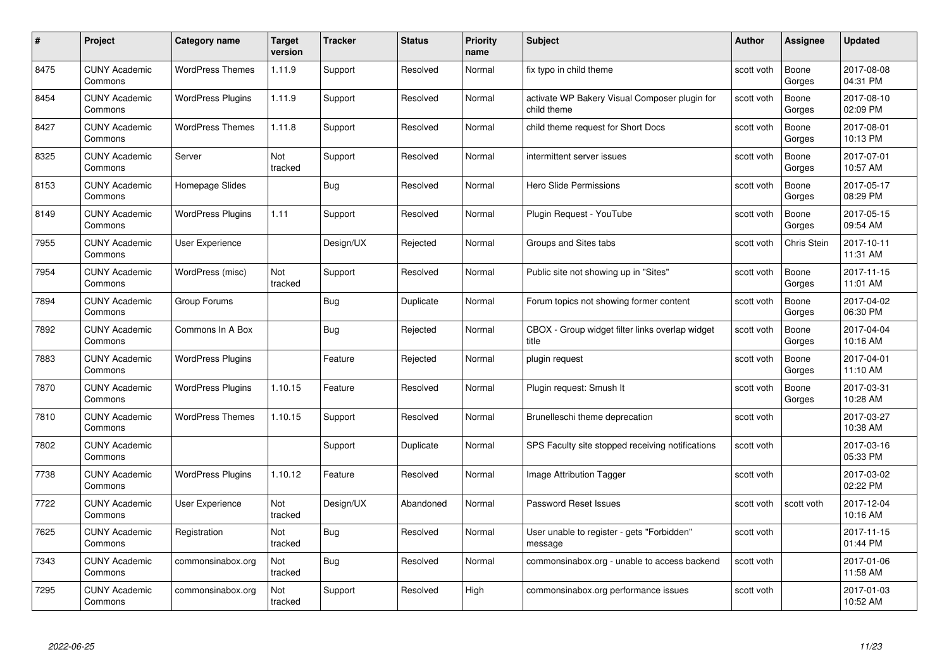| #    | Project                         | <b>Category name</b>     | Target<br>version | <b>Tracker</b> | <b>Status</b> | <b>Priority</b><br>name | <b>Subject</b>                                               | <b>Author</b> | <b>Assignee</b> | <b>Updated</b>         |
|------|---------------------------------|--------------------------|-------------------|----------------|---------------|-------------------------|--------------------------------------------------------------|---------------|-----------------|------------------------|
| 8475 | <b>CUNY Academic</b><br>Commons | <b>WordPress Themes</b>  | 1.11.9            | Support        | Resolved      | Normal                  | fix typo in child theme                                      | scott voth    | Boone<br>Gorges | 2017-08-08<br>04:31 PM |
| 8454 | <b>CUNY Academic</b><br>Commons | <b>WordPress Plugins</b> | 1.11.9            | Support        | Resolved      | Normal                  | activate WP Bakery Visual Composer plugin for<br>child theme | scott voth    | Boone<br>Gorges | 2017-08-10<br>02:09 PM |
| 8427 | <b>CUNY Academic</b><br>Commons | <b>WordPress Themes</b>  | 1.11.8            | Support        | Resolved      | Normal                  | child theme request for Short Docs                           | scott voth    | Boone<br>Gorges | 2017-08-01<br>10:13 PM |
| 8325 | <b>CUNY Academic</b><br>Commons | Server                   | Not<br>tracked    | Support        | Resolved      | Normal                  | intermittent server issues                                   | scott voth    | Boone<br>Gorges | 2017-07-01<br>10:57 AM |
| 8153 | CUNY Academic<br>Commons        | Homepage Slides          |                   | Bug            | Resolved      | Normal                  | Hero Slide Permissions                                       | scott voth    | Boone<br>Gorges | 2017-05-17<br>08:29 PM |
| 8149 | <b>CUNY Academic</b><br>Commons | <b>WordPress Plugins</b> | 1.11              | Support        | Resolved      | Normal                  | Plugin Request - YouTube                                     | scott voth    | Boone<br>Gorges | 2017-05-15<br>09:54 AM |
| 7955 | <b>CUNY Academic</b><br>Commons | User Experience          |                   | Design/UX      | Rejected      | Normal                  | Groups and Sites tabs                                        | scott voth    | Chris Stein     | 2017-10-11<br>11:31 AM |
| 7954 | <b>CUNY Academic</b><br>Commons | WordPress (misc)         | Not<br>tracked    | Support        | Resolved      | Normal                  | Public site not showing up in "Sites"                        | scott voth    | Boone<br>Gorges | 2017-11-15<br>11:01 AM |
| 7894 | <b>CUNY Academic</b><br>Commons | Group Forums             |                   | Bug            | Duplicate     | Normal                  | Forum topics not showing former content                      | scott voth    | Boone<br>Gorges | 2017-04-02<br>06:30 PM |
| 7892 | <b>CUNY Academic</b><br>Commons | Commons In A Box         |                   | Bug            | Rejected      | Normal                  | CBOX - Group widget filter links overlap widget<br>title     | scott voth    | Boone<br>Gorges | 2017-04-04<br>10:16 AM |
| 7883 | CUNY Academic<br>Commons        | <b>WordPress Plugins</b> |                   | Feature        | Rejected      | Normal                  | plugin request                                               | scott voth    | Boone<br>Gorges | 2017-04-01<br>11:10 AM |
| 7870 | <b>CUNY Academic</b><br>Commons | <b>WordPress Plugins</b> | 1.10.15           | Feature        | Resolved      | Normal                  | Plugin request: Smush It                                     | scott voth    | Boone<br>Gorges | 2017-03-31<br>10:28 AM |
| 7810 | <b>CUNY Academic</b><br>Commons | <b>WordPress Themes</b>  | 1.10.15           | Support        | Resolved      | Normal                  | Brunelleschi theme deprecation                               | scott voth    |                 | 2017-03-27<br>10:38 AM |
| 7802 | <b>CUNY Academic</b><br>Commons |                          |                   | Support        | Duplicate     | Normal                  | SPS Faculty site stopped receiving notifications             | scott voth    |                 | 2017-03-16<br>05:33 PM |
| 7738 | <b>CUNY Academic</b><br>Commons | <b>WordPress Plugins</b> | 1.10.12           | Feature        | Resolved      | Normal                  | Image Attribution Tagger                                     | scott voth    |                 | 2017-03-02<br>02:22 PM |
| 7722 | <b>CUNY Academic</b><br>Commons | User Experience          | Not<br>tracked    | Design/UX      | Abandoned     | Normal                  | Password Reset Issues                                        | scott voth    | scott voth      | 2017-12-04<br>10:16 AM |
| 7625 | <b>CUNY Academic</b><br>Commons | Registration             | Not<br>tracked    | Bug            | Resolved      | Normal                  | User unable to register - gets "Forbidden"<br>message        | scott voth    |                 | 2017-11-15<br>01:44 PM |
| 7343 | <b>CUNY Academic</b><br>Commons | commonsinabox.org        | Not<br>tracked    | <b>Bug</b>     | Resolved      | Normal                  | commonsinabox.org - unable to access backend                 | scott voth    |                 | 2017-01-06<br>11:58 AM |
| 7295 | CUNY Academic<br>Commons        | commonsinabox.org        | Not<br>tracked    | Support        | Resolved      | High                    | commonsinabox.org performance issues                         | scott voth    |                 | 2017-01-03<br>10:52 AM |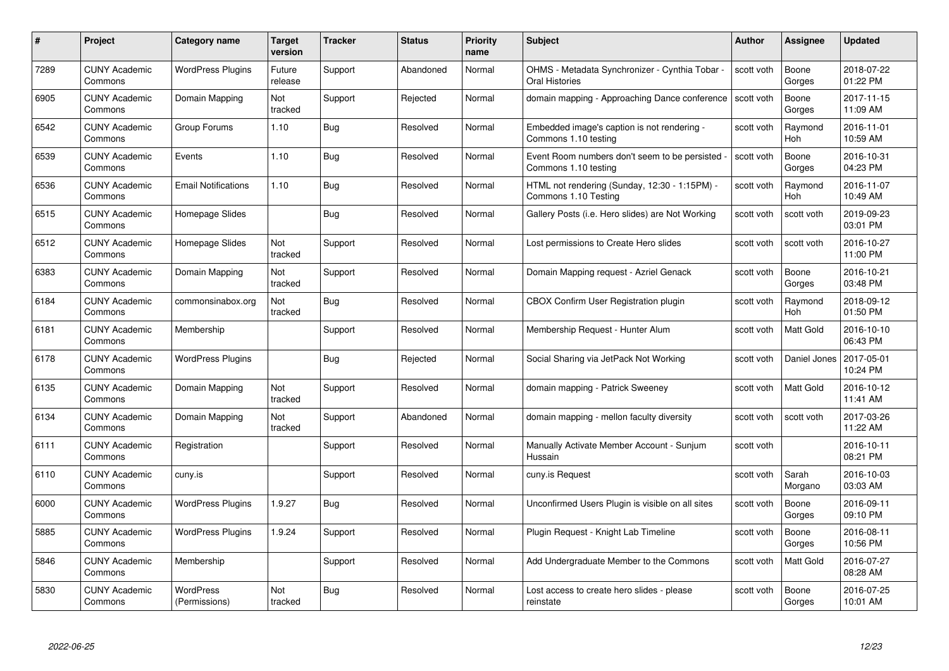| #    | Project                         | <b>Category name</b>              | Target<br>version | <b>Tracker</b> | <b>Status</b> | <b>Priority</b><br>name | <b>Subject</b>                                                        | <b>Author</b> | <b>Assignee</b>  | <b>Updated</b>         |
|------|---------------------------------|-----------------------------------|-------------------|----------------|---------------|-------------------------|-----------------------------------------------------------------------|---------------|------------------|------------------------|
| 7289 | <b>CUNY Academic</b><br>Commons | <b>WordPress Plugins</b>          | Future<br>release | Support        | Abandoned     | Normal                  | OHMS - Metadata Synchronizer - Cynthia Tobar -<br>Oral Histories      | scott voth    | Boone<br>Gorges  | 2018-07-22<br>01:22 PM |
| 6905 | <b>CUNY Academic</b><br>Commons | Domain Mapping                    | Not<br>tracked    | Support        | Rejected      | Normal                  | domain mapping - Approaching Dance conference                         | scott voth    | Boone<br>Gorges  | 2017-11-15<br>11:09 AM |
| 6542 | <b>CUNY Academic</b><br>Commons | Group Forums                      | 1.10              | Bug            | Resolved      | Normal                  | Embedded image's caption is not rendering -<br>Commons 1.10 testing   | scott voth    | Raymond<br>Hoh   | 2016-11-01<br>10:59 AM |
| 6539 | <b>CUNY Academic</b><br>Commons | Events                            | 1.10              | Bug            | Resolved      | Normal                  | Event Room numbers don't seem to be persisted<br>Commons 1.10 testing | scott voth    | Boone<br>Gorges  | 2016-10-31<br>04:23 PM |
| 6536 | <b>CUNY Academic</b><br>Commons | <b>Email Notifications</b>        | 1.10              | Bug            | Resolved      | Normal                  | HTML not rendering (Sunday, 12:30 - 1:15PM) -<br>Commons 1.10 Testing | scott voth    | Raymond<br>Hoh   | 2016-11-07<br>10:49 AM |
| 6515 | <b>CUNY Academic</b><br>Commons | Homepage Slides                   |                   | Bug            | Resolved      | Normal                  | Gallery Posts (i.e. Hero slides) are Not Working                      | scott voth    | scott voth       | 2019-09-23<br>03:01 PM |
| 6512 | <b>CUNY Academic</b><br>Commons | Homepage Slides                   | Not<br>tracked    | Support        | Resolved      | Normal                  | Lost permissions to Create Hero slides                                | scott voth    | scott voth       | 2016-10-27<br>11:00 PM |
| 6383 | <b>CUNY Academic</b><br>Commons | Domain Mapping                    | Not<br>tracked    | Support        | Resolved      | Normal                  | Domain Mapping request - Azriel Genack                                | scott voth    | Boone<br>Gorges  | 2016-10-21<br>03:48 PM |
| 6184 | <b>CUNY Academic</b><br>Commons | commonsinabox.org                 | Not<br>tracked    | <b>Bug</b>     | Resolved      | Normal                  | CBOX Confirm User Registration plugin                                 | scott voth    | Raymond<br>Hoh   | 2018-09-12<br>01:50 PM |
| 6181 | <b>CUNY Academic</b><br>Commons | Membership                        |                   | Support        | Resolved      | Normal                  | Membership Request - Hunter Alum                                      | scott voth    | Matt Gold        | 2016-10-10<br>06:43 PM |
| 6178 | CUNY Academic<br>Commons        | <b>WordPress Plugins</b>          |                   | <b>Bug</b>     | Rejected      | Normal                  | Social Sharing via JetPack Not Working                                | scott voth    | Daniel Jones     | 2017-05-01<br>10:24 PM |
| 6135 | <b>CUNY Academic</b><br>Commons | Domain Mapping                    | Not<br>tracked    | Support        | Resolved      | Normal                  | domain mapping - Patrick Sweeney                                      | scott voth    | Matt Gold        | 2016-10-12<br>11:41 AM |
| 6134 | <b>CUNY Academic</b><br>Commons | Domain Mapping                    | Not<br>tracked    | Support        | Abandoned     | Normal                  | domain mapping - mellon faculty diversity                             | scott voth    | scott voth       | 2017-03-26<br>11:22 AM |
| 6111 | <b>CUNY Academic</b><br>Commons | Registration                      |                   | Support        | Resolved      | Normal                  | Manually Activate Member Account - Sunjum<br>Hussain                  | scott voth    |                  | 2016-10-11<br>08:21 PM |
| 6110 | CUNY Academic<br>Commons        | cuny.is                           |                   | Support        | Resolved      | Normal                  | cuny.is Request                                                       | scott voth    | Sarah<br>Morgano | 2016-10-03<br>03:03 AM |
| 6000 | <b>CUNY Academic</b><br>Commons | <b>WordPress Plugins</b>          | 1.9.27            | <b>Bug</b>     | Resolved      | Normal                  | Unconfirmed Users Plugin is visible on all sites                      | scott voth    | Boone<br>Gorges  | 2016-09-11<br>09:10 PM |
| 5885 | <b>CUNY Academic</b><br>Commons | <b>WordPress Plugins</b>          | 1.9.24            | Support        | Resolved      | Normal                  | Plugin Request - Knight Lab Timeline                                  | scott voth    | Boone<br>Gorges  | 2016-08-11<br>10:56 PM |
| 5846 | <b>CUNY Academic</b><br>Commons | Membership                        |                   | Support        | Resolved      | Normal                  | Add Undergraduate Member to the Commons                               | scott voth    | Matt Gold        | 2016-07-27<br>08:28 AM |
| 5830 | CUNY Academic<br>Commons        | <b>WordPress</b><br>(Permissions) | Not<br>tracked    | <b>Bug</b>     | Resolved      | Normal                  | Lost access to create hero slides - please<br>reinstate               | scott voth    | Boone<br>Gorges  | 2016-07-25<br>10:01 AM |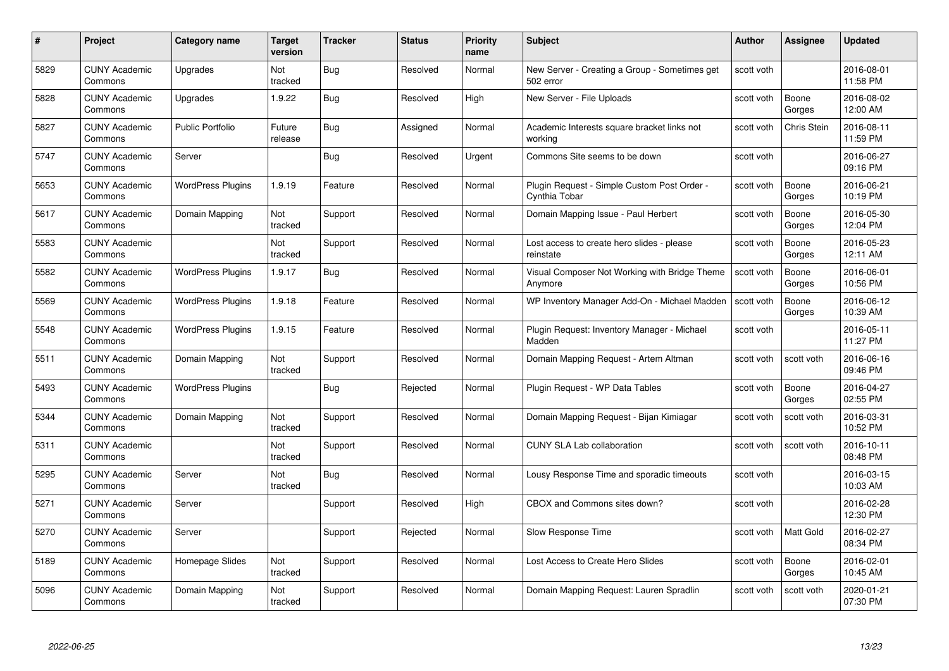| #    | Project                         | <b>Category name</b>     | Target<br>version | <b>Tracker</b> | <b>Status</b> | <b>Priority</b><br>name | <b>Subject</b>                                               | <b>Author</b> | <b>Assignee</b>    | <b>Updated</b>         |
|------|---------------------------------|--------------------------|-------------------|----------------|---------------|-------------------------|--------------------------------------------------------------|---------------|--------------------|------------------------|
| 5829 | <b>CUNY Academic</b><br>Commons | Upgrades                 | Not<br>tracked    | Bug            | Resolved      | Normal                  | New Server - Creating a Group - Sometimes get<br>502 error   | scott voth    |                    | 2016-08-01<br>11:58 PM |
| 5828 | <b>CUNY Academic</b><br>Commons | Upgrades                 | 1.9.22            | Bug            | Resolved      | High                    | New Server - File Uploads                                    | scott voth    | Boone<br>Gorges    | 2016-08-02<br>12:00 AM |
| 5827 | <b>CUNY Academic</b><br>Commons | Public Portfolio         | Future<br>release | Bug            | Assigned      | Normal                  | Academic Interests square bracket links not<br>working       | scott voth    | <b>Chris Stein</b> | 2016-08-11<br>11:59 PM |
| 5747 | <b>CUNY Academic</b><br>Commons | Server                   |                   | Bug            | Resolved      | Urgent                  | Commons Site seems to be down                                | scott voth    |                    | 2016-06-27<br>09:16 PM |
| 5653 | CUNY Academic<br>Commons        | <b>WordPress Plugins</b> | 1.9.19            | Feature        | Resolved      | Normal                  | Plugin Request - Simple Custom Post Order -<br>Cynthia Tobar | scott voth    | Boone<br>Gorges    | 2016-06-21<br>10:19 PM |
| 5617 | <b>CUNY Academic</b><br>Commons | Domain Mapping           | Not<br>tracked    | Support        | Resolved      | Normal                  | Domain Mapping Issue - Paul Herbert                          | scott voth    | Boone<br>Gorges    | 2016-05-30<br>12:04 PM |
| 5583 | <b>CUNY Academic</b><br>Commons |                          | Not<br>tracked    | Support        | Resolved      | Normal                  | Lost access to create hero slides - please<br>reinstate      | scott voth    | Boone<br>Gorges    | 2016-05-23<br>12:11 AM |
| 5582 | <b>CUNY Academic</b><br>Commons | <b>WordPress Plugins</b> | 1.9.17            | Bug            | Resolved      | Normal                  | Visual Composer Not Working with Bridge Theme<br>Anymore     | scott voth    | Boone<br>Gorges    | 2016-06-01<br>10:56 PM |
| 5569 | <b>CUNY Academic</b><br>Commons | <b>WordPress Plugins</b> | 1.9.18            | Feature        | Resolved      | Normal                  | WP Inventory Manager Add-On - Michael Madden                 | scott voth    | Boone<br>Gorges    | 2016-06-12<br>10:39 AM |
| 5548 | <b>CUNY Academic</b><br>Commons | <b>WordPress Plugins</b> | 1.9.15            | Feature        | Resolved      | Normal                  | Plugin Request: Inventory Manager - Michael<br>Madden        | scott voth    |                    | 2016-05-11<br>11:27 PM |
| 5511 | CUNY Academic<br>Commons        | Domain Mapping           | Not<br>tracked    | Support        | Resolved      | Normal                  | Domain Mapping Request - Artem Altman                        | scott voth    | scott voth         | 2016-06-16<br>09:46 PM |
| 5493 | <b>CUNY Academic</b><br>Commons | <b>WordPress Plugins</b> |                   | <b>Bug</b>     | Rejected      | Normal                  | Plugin Request - WP Data Tables                              | scott voth    | Boone<br>Gorges    | 2016-04-27<br>02:55 PM |
| 5344 | <b>CUNY Academic</b><br>Commons | Domain Mapping           | Not<br>tracked    | Support        | Resolved      | Normal                  | Domain Mapping Request - Bijan Kimiagar                      | scott voth    | scott voth         | 2016-03-31<br>10:52 PM |
| 5311 | <b>CUNY Academic</b><br>Commons |                          | Not<br>tracked    | Support        | Resolved      | Normal                  | <b>CUNY SLA Lab collaboration</b>                            | scott voth    | scott voth         | 2016-10-11<br>08:48 PM |
| 5295 | <b>CUNY Academic</b><br>Commons | Server                   | Not<br>tracked    | Bug            | Resolved      | Normal                  | Lousy Response Time and sporadic timeouts                    | scott voth    |                    | 2016-03-15<br>10:03 AM |
| 5271 | <b>CUNY Academic</b><br>Commons | Server                   |                   | Support        | Resolved      | High                    | CBOX and Commons sites down?                                 | scott voth    |                    | 2016-02-28<br>12:30 PM |
| 5270 | <b>CUNY Academic</b><br>Commons | Server                   |                   | Support        | Rejected      | Normal                  | Slow Response Time                                           | scott voth    | <b>Matt Gold</b>   | 2016-02-27<br>08:34 PM |
| 5189 | <b>CUNY Academic</b><br>Commons | Homepage Slides          | Not<br>tracked    | Support        | Resolved      | Normal                  | Lost Access to Create Hero Slides                            | scott voth    | Boone<br>Gorges    | 2016-02-01<br>10:45 AM |
| 5096 | CUNY Academic<br>Commons        | Domain Mapping           | Not<br>tracked    | Support        | Resolved      | Normal                  | Domain Mapping Request: Lauren Spradlin                      | scott voth    | scott voth         | 2020-01-21<br>07:30 PM |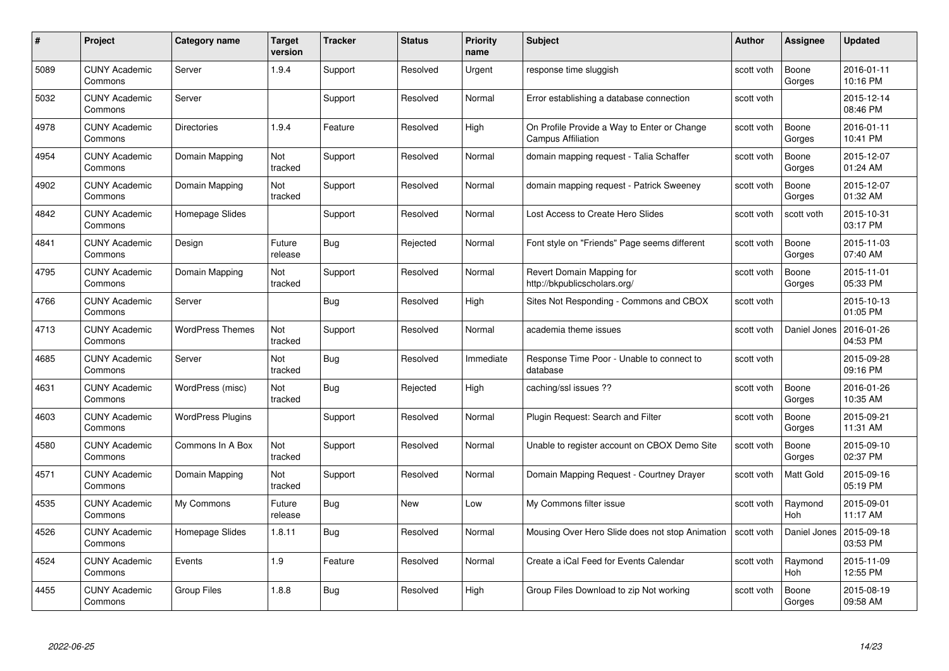| #    | Project                         | <b>Category name</b>     | Target<br>version     | <b>Tracker</b> | <b>Status</b> | <b>Priority</b><br>name | <b>Subject</b>                                                           | <b>Author</b> | <b>Assignee</b>       | <b>Updated</b>         |
|------|---------------------------------|--------------------------|-----------------------|----------------|---------------|-------------------------|--------------------------------------------------------------------------|---------------|-----------------------|------------------------|
| 5089 | <b>CUNY Academic</b><br>Commons | Server                   | 1.9.4                 | Support        | Resolved      | Urgent                  | response time sluggish                                                   | scott voth    | Boone<br>Gorges       | 2016-01-11<br>10:16 PM |
| 5032 | <b>CUNY Academic</b><br>Commons | Server                   |                       | Support        | Resolved      | Normal                  | Error establishing a database connection                                 | scott voth    |                       | 2015-12-14<br>08:46 PM |
| 4978 | <b>CUNY Academic</b><br>Commons | <b>Directories</b>       | 1.9.4                 | Feature        | Resolved      | High                    | On Profile Provide a Way to Enter or Change<br><b>Campus Affiliation</b> | scott voth    | Boone<br>Gorges       | 2016-01-11<br>10:41 PM |
| 4954 | <b>CUNY Academic</b><br>Commons | Domain Mapping           | Not<br>tracked        | Support        | Resolved      | Normal                  | domain mapping request - Talia Schaffer                                  | scott voth    | Boone<br>Gorges       | 2015-12-07<br>01:24 AM |
| 4902 | <b>CUNY Academic</b><br>Commons | Domain Mapping           | <b>Not</b><br>tracked | Support        | Resolved      | Normal                  | domain mapping request - Patrick Sweeney                                 | scott voth    | Boone<br>Gorges       | 2015-12-07<br>01:32 AM |
| 4842 | <b>CUNY Academic</b><br>Commons | Homepage Slides          |                       | Support        | Resolved      | Normal                  | Lost Access to Create Hero Slides                                        | scott voth    | scott voth            | 2015-10-31<br>03:17 PM |
| 4841 | <b>CUNY Academic</b><br>Commons | Design                   | Future<br>release     | Bug            | Rejected      | Normal                  | Font style on "Friends" Page seems different                             | scott voth    | Boone<br>Gorges       | 2015-11-03<br>07:40 AM |
| 4795 | <b>CUNY Academic</b><br>Commons | Domain Mapping           | Not<br>tracked        | Support        | Resolved      | Normal                  | Revert Domain Mapping for<br>http://bkpublicscholars.org/                | scott voth    | Boone<br>Gorges       | 2015-11-01<br>05:33 PM |
| 4766 | <b>CUNY Academic</b><br>Commons | Server                   |                       | Bug            | Resolved      | High                    | Sites Not Responding - Commons and CBOX                                  | scott voth    |                       | 2015-10-13<br>01:05 PM |
| 4713 | <b>CUNY Academic</b><br>Commons | <b>WordPress Themes</b>  | Not<br>tracked        | Support        | Resolved      | Normal                  | academia theme issues                                                    | scott voth    | Daniel Jones          | 2016-01-26<br>04:53 PM |
| 4685 | <b>CUNY Academic</b><br>Commons | Server                   | Not<br>tracked        | <b>Bug</b>     | Resolved      | Immediate               | Response Time Poor - Unable to connect to<br>database                    | scott voth    |                       | 2015-09-28<br>09:16 PM |
| 4631 | <b>CUNY Academic</b><br>Commons | WordPress (misc)         | Not<br>tracked        | <b>Bug</b>     | Rejected      | High                    | caching/ssl issues ??                                                    | scott voth    | Boone<br>Gorges       | 2016-01-26<br>10:35 AM |
| 4603 | <b>CUNY Academic</b><br>Commons | <b>WordPress Plugins</b> |                       | Support        | Resolved      | Normal                  | Plugin Request: Search and Filter                                        | scott voth    | Boone<br>Gorges       | 2015-09-21<br>11:31 AM |
| 4580 | <b>CUNY Academic</b><br>Commons | Commons In A Box         | Not<br>tracked        | Support        | Resolved      | Normal                  | Unable to register account on CBOX Demo Site                             | scott voth    | Boone<br>Gorges       | 2015-09-10<br>02:37 PM |
| 4571 | CUNY Academic<br>Commons        | Domain Mapping           | Not<br>tracked        | Support        | Resolved      | Normal                  | Domain Mapping Request - Courtney Drayer                                 | scott voth    | Matt Gold             | 2015-09-16<br>05:19 PM |
| 4535 | <b>CUNY Academic</b><br>Commons | My Commons               | Future<br>release     | Bug            | New           | Low                     | My Commons filter issue                                                  | scott voth    | Raymond<br><b>Hoh</b> | 2015-09-01<br>11:17 AM |
| 4526 | <b>CUNY Academic</b><br>Commons | Homepage Slides          | 1.8.11                | Bug            | Resolved      | Normal                  | Mousing Over Hero Slide does not stop Animation                          | scott voth    | Daniel Jones          | 2015-09-18<br>03:53 PM |
| 4524 | <b>CUNY Academic</b><br>Commons | Events                   | 1.9                   | Feature        | Resolved      | Normal                  | Create a iCal Feed for Events Calendar                                   | scott voth    | Raymond<br>Hoh        | 2015-11-09<br>12:55 PM |
| 4455 | CUNY Academic<br>Commons        | <b>Group Files</b>       | 1.8.8                 | <b>Bug</b>     | Resolved      | High                    | Group Files Download to zip Not working                                  | scott voth    | Boone<br>Gorges       | 2015-08-19<br>09:58 AM |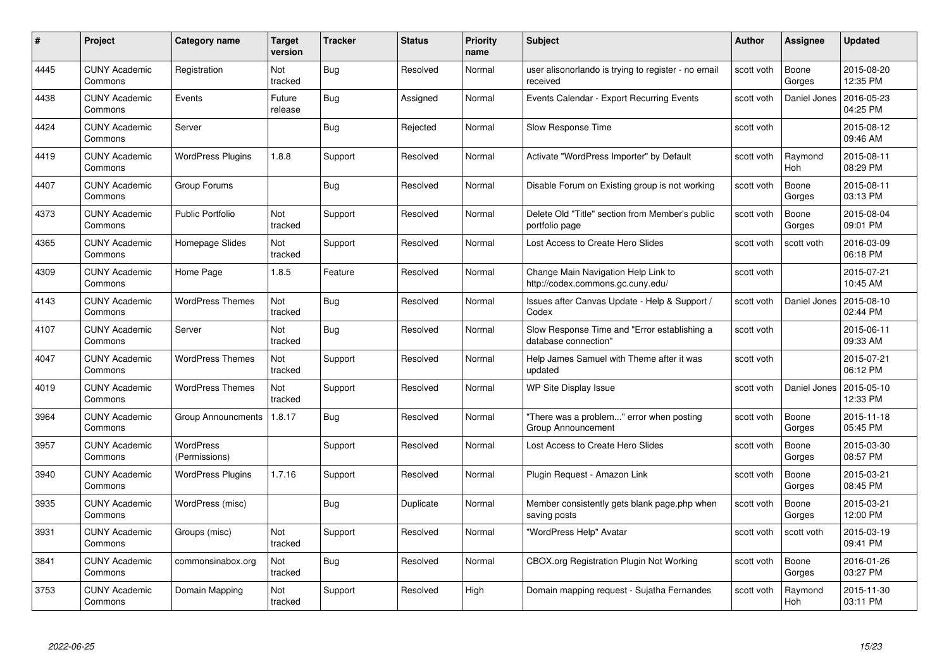| #    | Project                         | <b>Category name</b>              | Target<br>version     | <b>Tracker</b> | <b>Status</b> | <b>Priority</b><br>name | <b>Subject</b>                                                           | <b>Author</b> | <b>Assignee</b> | <b>Updated</b>         |
|------|---------------------------------|-----------------------------------|-----------------------|----------------|---------------|-------------------------|--------------------------------------------------------------------------|---------------|-----------------|------------------------|
| 4445 | <b>CUNY Academic</b><br>Commons | Registration                      | Not<br>tracked        | Bug            | Resolved      | Normal                  | user alisonorlando is trying to register - no email<br>received          | scott voth    | Boone<br>Gorges | 2015-08-20<br>12:35 PM |
| 4438 | <b>CUNY Academic</b><br>Commons | Events                            | Future<br>release     | Bug            | Assigned      | Normal                  | Events Calendar - Export Recurring Events                                | scott voth    | Daniel Jones    | 2016-05-23<br>04:25 PM |
| 4424 | <b>CUNY Academic</b><br>Commons | Server                            |                       | <b>Bug</b>     | Rejected      | Normal                  | Slow Response Time                                                       | scott voth    |                 | 2015-08-12<br>09:46 AM |
| 4419 | <b>CUNY Academic</b><br>Commons | <b>WordPress Plugins</b>          | 1.8.8                 | Support        | Resolved      | Normal                  | Activate "WordPress Importer" by Default                                 | scott voth    | Raymond<br>Hoh  | 2015-08-11<br>08:29 PM |
| 4407 | CUNY Academic<br>Commons        | Group Forums                      |                       | <b>Bug</b>     | Resolved      | Normal                  | Disable Forum on Existing group is not working                           | scott voth    | Boone<br>Gorges | 2015-08-11<br>03:13 PM |
| 4373 | <b>CUNY Academic</b><br>Commons | Public Portfolio                  | <b>Not</b><br>tracked | Support        | Resolved      | Normal                  | Delete Old "Title" section from Member's public<br>portfolio page        | scott voth    | Boone<br>Gorges | 2015-08-04<br>09:01 PM |
| 4365 | <b>CUNY Academic</b><br>Commons | Homepage Slides                   | Not<br>tracked        | Support        | Resolved      | Normal                  | Lost Access to Create Hero Slides                                        | scott voth    | scott voth      | 2016-03-09<br>06:18 PM |
| 4309 | <b>CUNY Academic</b><br>Commons | Home Page                         | 1.8.5                 | Feature        | Resolved      | Normal                  | Change Main Navigation Help Link to<br>http://codex.commons.gc.cuny.edu/ | scott voth    |                 | 2015-07-21<br>10:45 AM |
| 4143 | <b>CUNY Academic</b><br>Commons | <b>WordPress Themes</b>           | Not<br>tracked        | Bug            | Resolved      | Normal                  | Issues after Canvas Update - Help & Support /<br>Codex                   | scott voth    | Daniel Jones    | 2015-08-10<br>02:44 PM |
| 4107 | <b>CUNY Academic</b><br>Commons | Server                            | Not<br>tracked        | <b>Bug</b>     | Resolved      | Normal                  | Slow Response Time and "Error establishing a<br>database connection"     | scott voth    |                 | 2015-06-11<br>09:33 AM |
| 4047 | CUNY Academic<br>Commons        | <b>WordPress Themes</b>           | Not<br>tracked        | Support        | Resolved      | Normal                  | Help James Samuel with Theme after it was<br>updated                     | scott voth    |                 | 2015-07-21<br>06:12 PM |
| 4019 | <b>CUNY Academic</b><br>Commons | <b>WordPress Themes</b>           | Not<br>tracked        | Support        | Resolved      | Normal                  | WP Site Display Issue                                                    | scott voth    | Daniel Jones    | 2015-05-10<br>12:33 PM |
| 3964 | <b>CUNY Academic</b><br>Commons | <b>Group Announcments</b>         | 1.8.17                | <b>Bug</b>     | Resolved      | Normal                  | "There was a problem" error when posting<br>Group Announcement           | scott voth    | Boone<br>Gorges | 2015-11-18<br>05:45 PM |
| 3957 | <b>CUNY Academic</b><br>Commons | <b>WordPress</b><br>(Permissions) |                       | Support        | Resolved      | Normal                  | Lost Access to Create Hero Slides                                        | scott voth    | Boone<br>Gorges | 2015-03-30<br>08:57 PM |
| 3940 | <b>CUNY Academic</b><br>Commons | <b>WordPress Plugins</b>          | 1.7.16                | Support        | Resolved      | Normal                  | Plugin Request - Amazon Link                                             | scott voth    | Boone<br>Gorges | 2015-03-21<br>08:45 PM |
| 3935 | <b>CUNY Academic</b><br>Commons | WordPress (misc)                  |                       | Bug            | Duplicate     | Normal                  | Member consistently gets blank page.php when<br>saving posts             | scott voth    | Boone<br>Gorges | 2015-03-21<br>12:00 PM |
| 3931 | <b>CUNY Academic</b><br>Commons | Groups (misc)                     | Not<br>tracked        | Support        | Resolved      | Normal                  | "WordPress Help" Avatar                                                  | scott voth    | scott voth      | 2015-03-19<br>09:41 PM |
| 3841 | <b>CUNY Academic</b><br>Commons | commonsinabox.org                 | Not<br>tracked        | Bug            | Resolved      | Normal                  | <b>CBOX.org Registration Plugin Not Working</b>                          | scott voth    | Boone<br>Gorges | 2016-01-26<br>03:27 PM |
| 3753 | CUNY Academic<br>Commons        | Domain Mapping                    | Not<br>tracked        | Support        | Resolved      | High                    | Domain mapping request - Sujatha Fernandes                               | scott voth    | Raymond<br>Hoh  | 2015-11-30<br>03:11 PM |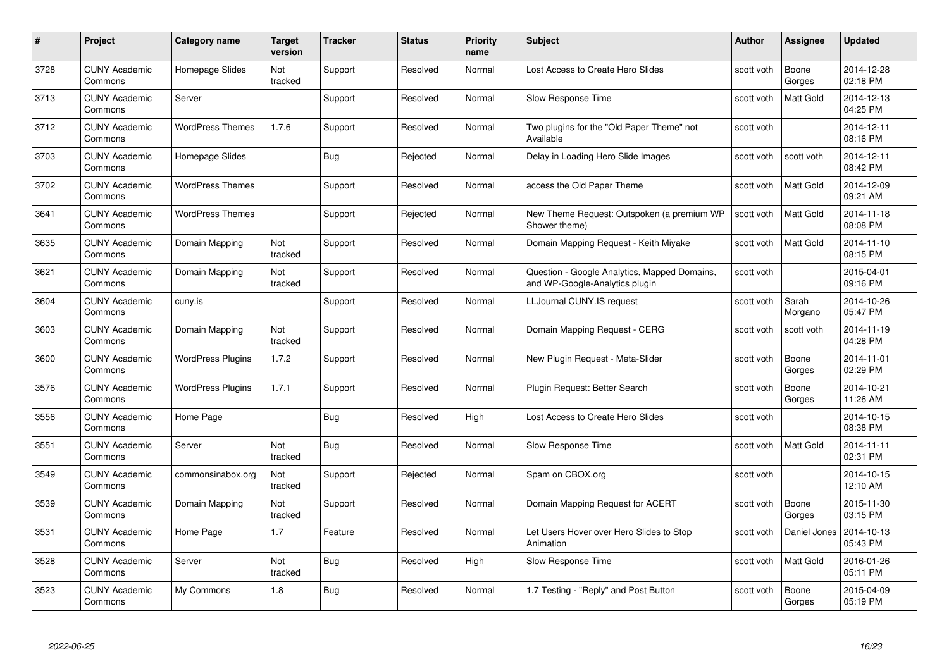| #    | Project                         | Category name            | Target<br>version | <b>Tracker</b> | <b>Status</b> | <b>Priority</b><br>name | <b>Subject</b>                                                                 | Author     | Assignee         | <b>Updated</b>         |
|------|---------------------------------|--------------------------|-------------------|----------------|---------------|-------------------------|--------------------------------------------------------------------------------|------------|------------------|------------------------|
| 3728 | <b>CUNY Academic</b><br>Commons | Homepage Slides          | Not<br>tracked    | Support        | Resolved      | Normal                  | Lost Access to Create Hero Slides                                              | scott voth | Boone<br>Gorges  | 2014-12-28<br>02:18 PM |
| 3713 | <b>CUNY Academic</b><br>Commons | Server                   |                   | Support        | Resolved      | Normal                  | Slow Response Time                                                             | scott voth | <b>Matt Gold</b> | 2014-12-13<br>04:25 PM |
| 3712 | <b>CUNY Academic</b><br>Commons | <b>WordPress Themes</b>  | 1.7.6             | Support        | Resolved      | Normal                  | Two plugins for the "Old Paper Theme" not<br>Available                         | scott voth |                  | 2014-12-11<br>08:16 PM |
| 3703 | <b>CUNY Academic</b><br>Commons | Homepage Slides          |                   | Bug            | Rejected      | Normal                  | Delay in Loading Hero Slide Images                                             | scott voth | scott voth       | 2014-12-11<br>08:42 PM |
| 3702 | <b>CUNY Academic</b><br>Commons | <b>WordPress Themes</b>  |                   | Support        | Resolved      | Normal                  | access the Old Paper Theme                                                     | scott voth | <b>Matt Gold</b> | 2014-12-09<br>09:21 AM |
| 3641 | <b>CUNY Academic</b><br>Commons | <b>WordPress Themes</b>  |                   | Support        | Rejected      | Normal                  | New Theme Request: Outspoken (a premium WP<br>Shower theme)                    | scott voth | <b>Matt Gold</b> | 2014-11-18<br>08:08 PM |
| 3635 | <b>CUNY Academic</b><br>Commons | Domain Mapping           | Not<br>tracked    | Support        | Resolved      | Normal                  | Domain Mapping Request - Keith Miyake                                          | scott voth | Matt Gold        | 2014-11-10<br>08:15 PM |
| 3621 | <b>CUNY Academic</b><br>Commons | Domain Mapping           | Not<br>tracked    | Support        | Resolved      | Normal                  | Question - Google Analytics, Mapped Domains,<br>and WP-Google-Analytics plugin | scott voth |                  | 2015-04-01<br>09:16 PM |
| 3604 | <b>CUNY Academic</b><br>Commons | cuny.is                  |                   | Support        | Resolved      | Normal                  | LLJournal CUNY.IS request                                                      | scott voth | Sarah<br>Morgano | 2014-10-26<br>05:47 PM |
| 3603 | <b>CUNY Academic</b><br>Commons | Domain Mapping           | Not<br>tracked    | Support        | Resolved      | Normal                  | Domain Mapping Request - CERG                                                  | scott voth | scott voth       | 2014-11-19<br>04:28 PM |
| 3600 | <b>CUNY Academic</b><br>Commons | <b>WordPress Plugins</b> | 1.7.2             | Support        | Resolved      | Normal                  | New Plugin Request - Meta-Slider                                               | scott voth | Boone<br>Gorges  | 2014-11-01<br>02:29 PM |
| 3576 | <b>CUNY Academic</b><br>Commons | <b>WordPress Plugins</b> | 1.7.1             | Support        | Resolved      | Normal                  | Plugin Request: Better Search                                                  | scott voth | Boone<br>Gorges  | 2014-10-21<br>11:26 AM |
| 3556 | <b>CUNY Academic</b><br>Commons | Home Page                |                   | <b>Bug</b>     | Resolved      | High                    | Lost Access to Create Hero Slides                                              | scott voth |                  | 2014-10-15<br>08:38 PM |
| 3551 | <b>CUNY Academic</b><br>Commons | Server                   | Not<br>tracked    | <b>Bug</b>     | Resolved      | Normal                  | Slow Response Time                                                             | scott voth | Matt Gold        | 2014-11-11<br>02:31 PM |
| 3549 | <b>CUNY Academic</b><br>Commons | commonsinabox.org        | Not<br>tracked    | Support        | Rejected      | Normal                  | Spam on CBOX.org                                                               | scott voth |                  | 2014-10-15<br>12:10 AM |
| 3539 | <b>CUNY Academic</b><br>Commons | Domain Mapping           | Not<br>tracked    | Support        | Resolved      | Normal                  | Domain Mapping Request for ACERT                                               | scott voth | Boone<br>Gorges  | 2015-11-30<br>03:15 PM |
| 3531 | <b>CUNY Academic</b><br>Commons | Home Page                | 1.7               | Feature        | Resolved      | Normal                  | Let Users Hover over Hero Slides to Stop<br>Animation                          | scott voth | Daniel Jones     | 2014-10-13<br>05:43 PM |
| 3528 | <b>CUNY Academic</b><br>Commons | Server                   | Not<br>tracked    | <b>Bug</b>     | Resolved      | High                    | Slow Response Time                                                             | scott voth | Matt Gold        | 2016-01-26<br>05:11 PM |
| 3523 | <b>CUNY Academic</b><br>Commons | My Commons               | 1.8               | Bug            | Resolved      | Normal                  | 1.7 Testing - "Reply" and Post Button                                          | scott voth | Boone<br>Gorges  | 2015-04-09<br>05:19 PM |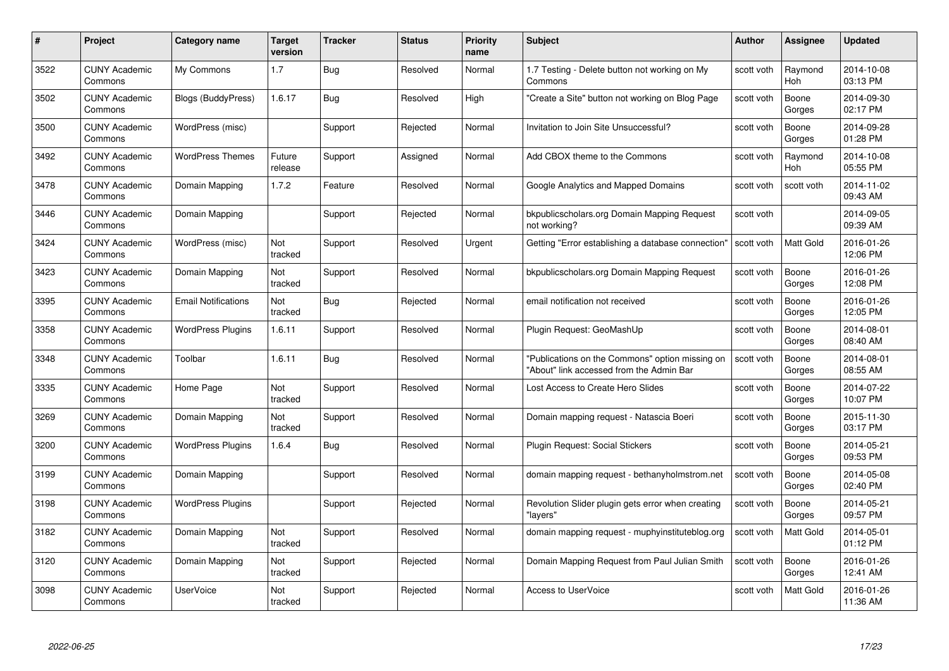| #    | Project                         | Category name              | Target<br>version | <b>Tracker</b> | <b>Status</b> | <b>Priority</b><br>name | <b>Subject</b>                                                                              | <b>Author</b> | <b>Assignee</b>       | <b>Updated</b>         |
|------|---------------------------------|----------------------------|-------------------|----------------|---------------|-------------------------|---------------------------------------------------------------------------------------------|---------------|-----------------------|------------------------|
| 3522 | <b>CUNY Academic</b><br>Commons | My Commons                 | 1.7               | Bug            | Resolved      | Normal                  | 1.7 Testing - Delete button not working on My<br>Commons                                    | scott voth    | Raymond<br><b>Hoh</b> | 2014-10-08<br>03:13 PM |
| 3502 | <b>CUNY Academic</b><br>Commons | Blogs (BuddyPress)         | 1.6.17            | <b>Bug</b>     | Resolved      | High                    | "Create a Site" button not working on Blog Page                                             | scott voth    | Boone<br>Gorges       | 2014-09-30<br>02:17 PM |
| 3500 | <b>CUNY Academic</b><br>Commons | WordPress (misc)           |                   | Support        | Rejected      | Normal                  | Invitation to Join Site Unsuccessful?                                                       | scott voth    | Boone<br>Gorges       | 2014-09-28<br>01:28 PM |
| 3492 | <b>CUNY Academic</b><br>Commons | <b>WordPress Themes</b>    | Future<br>release | Support        | Assigned      | Normal                  | Add CBOX theme to the Commons                                                               | scott voth    | Raymond<br>Hoh        | 2014-10-08<br>05:55 PM |
| 3478 | <b>CUNY Academic</b><br>Commons | Domain Mapping             | 1.7.2             | Feature        | Resolved      | Normal                  | Google Analytics and Mapped Domains                                                         | scott voth    | scott voth            | 2014-11-02<br>09:43 AM |
| 3446 | <b>CUNY Academic</b><br>Commons | Domain Mapping             |                   | Support        | Rejected      | Normal                  | bkpublicscholars.org Domain Mapping Request<br>not working?                                 | scott voth    |                       | 2014-09-05<br>09:39 AM |
| 3424 | <b>CUNY Academic</b><br>Commons | WordPress (misc)           | Not<br>tracked    | Support        | Resolved      | Urgent                  | Getting "Error establishing a database connection"                                          | scott voth    | Matt Gold             | 2016-01-26<br>12:06 PM |
| 3423 | <b>CUNY Academic</b><br>Commons | Domain Mapping             | Not<br>tracked    | Support        | Resolved      | Normal                  | bkpublicscholars.org Domain Mapping Request                                                 | scott voth    | Boone<br>Gorges       | 2016-01-26<br>12:08 PM |
| 3395 | <b>CUNY Academic</b><br>Commons | <b>Email Notifications</b> | Not<br>tracked    | <b>Bug</b>     | Rejected      | Normal                  | email notification not received                                                             | scott voth    | Boone<br>Gorges       | 2016-01-26<br>12:05 PM |
| 3358 | <b>CUNY Academic</b><br>Commons | <b>WordPress Plugins</b>   | 1.6.11            | Support        | Resolved      | Normal                  | Plugin Request: GeoMashUp                                                                   | scott voth    | Boone<br>Gorges       | 2014-08-01<br>08:40 AM |
| 3348 | <b>CUNY Academic</b><br>Commons | Toolbar                    | 1.6.11            | <b>Bug</b>     | Resolved      | Normal                  | "Publications on the Commons" option missing on<br>"About" link accessed from the Admin Bar | scott voth    | Boone<br>Gorges       | 2014-08-01<br>08:55 AM |
| 3335 | <b>CUNY Academic</b><br>Commons | Home Page                  | Not<br>tracked    | Support        | Resolved      | Normal                  | Lost Access to Create Hero Slides                                                           | scott voth    | Boone<br>Gorges       | 2014-07-22<br>10:07 PM |
| 3269 | <b>CUNY Academic</b><br>Commons | Domain Mapping             | Not<br>tracked    | Support        | Resolved      | Normal                  | Domain mapping request - Natascia Boeri                                                     | scott voth    | Boone<br>Gorges       | 2015-11-30<br>03:17 PM |
| 3200 | <b>CUNY Academic</b><br>Commons | <b>WordPress Plugins</b>   | 1.6.4             | Bug            | Resolved      | Normal                  | Plugin Request: Social Stickers                                                             | scott voth    | Boone<br>Gorges       | 2014-05-21<br>09:53 PM |
| 3199 | <b>CUNY Academic</b><br>Commons | Domain Mapping             |                   | Support        | Resolved      | Normal                  | domain mapping request - bethanyholmstrom.net                                               | scott voth    | Boone<br>Gorges       | 2014-05-08<br>02:40 PM |
| 3198 | <b>CUNY Academic</b><br>Commons | <b>WordPress Plugins</b>   |                   | Support        | Rejected      | Normal                  | Revolution Slider plugin gets error when creating<br>"lavers"                               | scott voth    | Boone<br>Gorges       | 2014-05-21<br>09:57 PM |
| 3182 | <b>CUNY Academic</b><br>Commons | Domain Mapping             | Not<br>tracked    | Support        | Resolved      | Normal                  | domain mapping request - muphyinstituteblog.org                                             | scott voth    | <b>Matt Gold</b>      | 2014-05-01<br>01:12 PM |
| 3120 | <b>CUNY Academic</b><br>Commons | Domain Mapping             | Not<br>tracked    | Support        | Rejected      | Normal                  | Domain Mapping Request from Paul Julian Smith                                               | scott voth    | Boone<br>Gorges       | 2016-01-26<br>12:41 AM |
| 3098 | CUNY Academic<br>Commons        | <b>UserVoice</b>           | Not<br>tracked    | Support        | Rejected      | Normal                  | <b>Access to UserVoice</b>                                                                  | scott voth    | <b>Matt Gold</b>      | 2016-01-26<br>11:36 AM |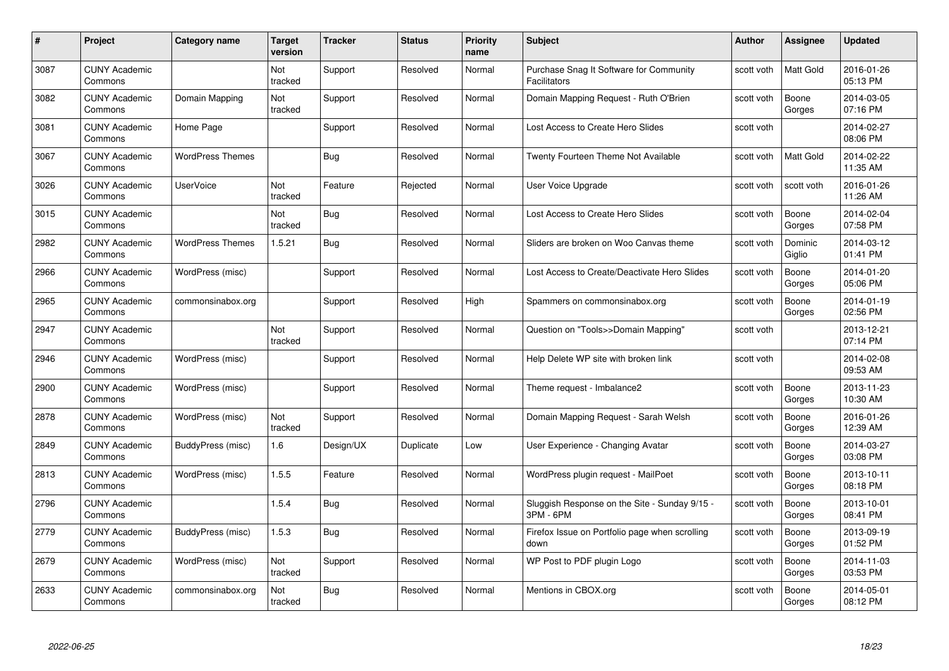| #    | Project                         | <b>Category name</b>    | Target<br>version     | <b>Tracker</b> | <b>Status</b> | <b>Priority</b><br>name | <b>Subject</b>                                                 | <b>Author</b> | <b>Assignee</b>   | <b>Updated</b>         |
|------|---------------------------------|-------------------------|-----------------------|----------------|---------------|-------------------------|----------------------------------------------------------------|---------------|-------------------|------------------------|
| 3087 | <b>CUNY Academic</b><br>Commons |                         | Not<br>tracked        | Support        | Resolved      | Normal                  | Purchase Snag It Software for Community<br><b>Facilitators</b> | scott voth    | <b>Matt Gold</b>  | 2016-01-26<br>05:13 PM |
| 3082 | <b>CUNY Academic</b><br>Commons | Domain Mapping          | Not<br>tracked        | Support        | Resolved      | Normal                  | Domain Mapping Request - Ruth O'Brien                          | scott voth    | Boone<br>Gorges   | 2014-03-05<br>07:16 PM |
| 3081 | <b>CUNY Academic</b><br>Commons | Home Page               |                       | Support        | Resolved      | Normal                  | Lost Access to Create Hero Slides                              | scott voth    |                   | 2014-02-27<br>08:06 PM |
| 3067 | <b>CUNY Academic</b><br>Commons | <b>WordPress Themes</b> |                       | Bug            | Resolved      | Normal                  | Twenty Fourteen Theme Not Available                            | scott voth    | Matt Gold         | 2014-02-22<br>11:35 AM |
| 3026 | <b>CUNY Academic</b><br>Commons | <b>UserVoice</b>        | <b>Not</b><br>tracked | Feature        | Rejected      | Normal                  | User Voice Upgrade                                             | scott voth    | scott voth        | 2016-01-26<br>11:26 AM |
| 3015 | <b>CUNY Academic</b><br>Commons |                         | Not<br>tracked        | Bug            | Resolved      | Normal                  | Lost Access to Create Hero Slides                              | scott voth    | Boone<br>Gorges   | 2014-02-04<br>07:58 PM |
| 2982 | <b>CUNY Academic</b><br>Commons | <b>WordPress Themes</b> | 1.5.21                | Bug            | Resolved      | Normal                  | Sliders are broken on Woo Canvas theme                         | scott voth    | Dominic<br>Giglio | 2014-03-12<br>01:41 PM |
| 2966 | <b>CUNY Academic</b><br>Commons | WordPress (misc)        |                       | Support        | Resolved      | Normal                  | Lost Access to Create/Deactivate Hero Slides                   | scott voth    | Boone<br>Gorges   | 2014-01-20<br>05:06 PM |
| 2965 | <b>CUNY Academic</b><br>Commons | commonsinabox.org       |                       | Support        | Resolved      | High                    | Spammers on commonsinabox.org                                  | scott voth    | Boone<br>Gorges   | 2014-01-19<br>02:56 PM |
| 2947 | <b>CUNY Academic</b><br>Commons |                         | Not<br>tracked        | Support        | Resolved      | Normal                  | Question on "Tools>>Domain Mapping"                            | scott voth    |                   | 2013-12-21<br>07:14 PM |
| 2946 | <b>CUNY Academic</b><br>Commons | WordPress (misc)        |                       | Support        | Resolved      | Normal                  | Help Delete WP site with broken link                           | scott voth    |                   | 2014-02-08<br>09:53 AM |
| 2900 | <b>CUNY Academic</b><br>Commons | WordPress (misc)        |                       | Support        | Resolved      | Normal                  | Theme request - Imbalance2                                     | scott voth    | Boone<br>Gorges   | 2013-11-23<br>10:30 AM |
| 2878 | <b>CUNY Academic</b><br>Commons | WordPress (misc)        | Not<br>tracked        | Support        | Resolved      | Normal                  | Domain Mapping Request - Sarah Welsh                           | scott voth    | Boone<br>Gorges   | 2016-01-26<br>12:39 AM |
| 2849 | <b>CUNY Academic</b><br>Commons | BuddyPress (misc)       | 1.6                   | Design/UX      | Duplicate     | Low                     | User Experience - Changing Avatar                              | scott voth    | Boone<br>Gorges   | 2014-03-27<br>03:08 PM |
| 2813 | CUNY Academic<br>Commons        | WordPress (misc)        | 1.5.5                 | Feature        | Resolved      | Normal                  | WordPress plugin request - MailPoet                            | scott voth    | Boone<br>Gorges   | 2013-10-11<br>08:18 PM |
| 2796 | <b>CUNY Academic</b><br>Commons |                         | 1.5.4                 | Bug            | Resolved      | Normal                  | Sluggish Response on the Site - Sunday 9/15 -<br>3PM - 6PM     | scott voth    | Boone<br>Gorges   | 2013-10-01<br>08:41 PM |
| 2779 | <b>CUNY Academic</b><br>Commons | BuddyPress (misc)       | 1.5.3                 | Bug            | Resolved      | Normal                  | Firefox Issue on Portfolio page when scrolling<br>down         | scott voth    | Boone<br>Gorges   | 2013-09-19<br>01:52 PM |
| 2679 | <b>CUNY Academic</b><br>Commons | WordPress (misc)        | Not<br>tracked        | Support        | Resolved      | Normal                  | WP Post to PDF plugin Logo                                     | scott voth    | Boone<br>Gorges   | 2014-11-03<br>03:53 PM |
| 2633 | CUNY Academic<br>Commons        | commonsinabox.org       | Not<br>tracked        | Bug            | Resolved      | Normal                  | Mentions in CBOX.org                                           | scott voth    | Boone<br>Gorges   | 2014-05-01<br>08:12 PM |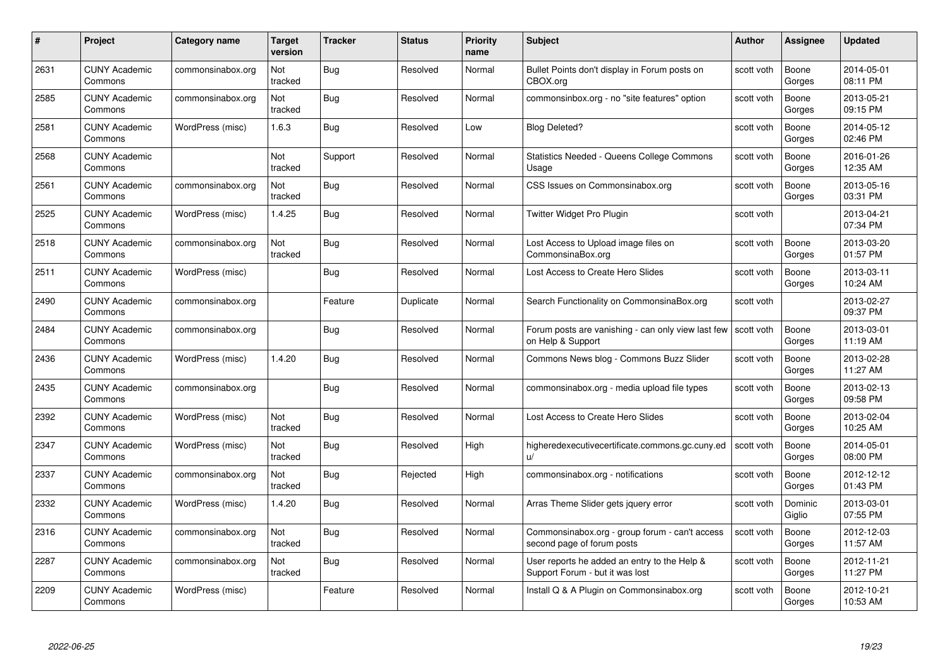| #    | Project                         | <b>Category name</b> | Target<br>version | <b>Tracker</b> | <b>Status</b> | <b>Priority</b><br>name | <b>Subject</b>                                                                  | <b>Author</b> | <b>Assignee</b>   | <b>Updated</b>         |
|------|---------------------------------|----------------------|-------------------|----------------|---------------|-------------------------|---------------------------------------------------------------------------------|---------------|-------------------|------------------------|
| 2631 | <b>CUNY Academic</b><br>Commons | commonsinabox.org    | Not<br>tracked    | Bug            | Resolved      | Normal                  | Bullet Points don't display in Forum posts on<br>CBOX.org                       | scott voth    | Boone<br>Gorges   | 2014-05-01<br>08:11 PM |
| 2585 | <b>CUNY Academic</b><br>Commons | commonsinabox.org    | Not<br>tracked    | Bug            | Resolved      | Normal                  | commonsinbox.org - no "site features" option                                    | scott voth    | Boone<br>Gorges   | 2013-05-21<br>09:15 PM |
| 2581 | <b>CUNY Academic</b><br>Commons | WordPress (misc)     | 1.6.3             | <b>Bug</b>     | Resolved      | Low                     | <b>Blog Deleted?</b>                                                            | scott voth    | Boone<br>Gorges   | 2014-05-12<br>02:46 PM |
| 2568 | <b>CUNY Academic</b><br>Commons |                      | Not<br>tracked    | Support        | Resolved      | Normal                  | <b>Statistics Needed - Queens College Commons</b><br>Usage                      | scott voth    | Boone<br>Gorges   | 2016-01-26<br>12:35 AM |
| 2561 | <b>CUNY Academic</b><br>Commons | commonsinabox.org    | Not<br>tracked    | Bug            | Resolved      | Normal                  | CSS Issues on Commonsinabox.org                                                 | scott voth    | Boone<br>Gorges   | 2013-05-16<br>03:31 PM |
| 2525 | <b>CUNY Academic</b><br>Commons | WordPress (misc)     | 1.4.25            | Bug            | Resolved      | Normal                  | Twitter Widget Pro Plugin                                                       | scott voth    |                   | 2013-04-21<br>07:34 PM |
| 2518 | <b>CUNY Academic</b><br>Commons | commonsinabox.org    | Not<br>tracked    | Bug            | Resolved      | Normal                  | Lost Access to Upload image files on<br>CommonsinaBox.org                       | scott voth    | Boone<br>Gorges   | 2013-03-20<br>01:57 PM |
| 2511 | <b>CUNY Academic</b><br>Commons | WordPress (misc)     |                   | <b>Bug</b>     | Resolved      | Normal                  | Lost Access to Create Hero Slides                                               | scott voth    | Boone<br>Gorges   | 2013-03-11<br>10:24 AM |
| 2490 | <b>CUNY Academic</b><br>Commons | commonsinabox.org    |                   | Feature        | Duplicate     | Normal                  | Search Functionality on CommonsinaBox.org                                       | scott voth    |                   | 2013-02-27<br>09:37 PM |
| 2484 | <b>CUNY Academic</b><br>Commons | commonsinabox.org    |                   | Bug            | Resolved      | Normal                  | Forum posts are vanishing - can only view last few<br>on Help & Support         | scott voth    | Boone<br>Gorges   | 2013-03-01<br>11:19 AM |
| 2436 | CUNY Academic<br>Commons        | WordPress (misc)     | 1.4.20            | <b>Bug</b>     | Resolved      | Normal                  | Commons News blog - Commons Buzz Slider                                         | scott voth    | Boone<br>Gorges   | 2013-02-28<br>11:27 AM |
| 2435 | <b>CUNY Academic</b><br>Commons | commonsinabox.org    |                   | Bug            | Resolved      | Normal                  | commonsinabox.org - media upload file types                                     | scott voth    | Boone<br>Gorges   | 2013-02-13<br>09:58 PM |
| 2392 | <b>CUNY Academic</b><br>Commons | WordPress (misc)     | Not<br>tracked    | Bug            | Resolved      | Normal                  | Lost Access to Create Hero Slides                                               | scott voth    | Boone<br>Gorges   | 2013-02-04<br>10:25 AM |
| 2347 | <b>CUNY Academic</b><br>Commons | WordPress (misc)     | Not<br>tracked    | <b>Bug</b>     | Resolved      | High                    | higheredexecutivecertificate.commons.gc.cuny.ed                                 | scott voth    | Boone<br>Gorges   | 2014-05-01<br>08:00 PM |
| 2337 | <b>CUNY Academic</b><br>Commons | commonsinabox.org    | Not<br>tracked    | Bug            | Rejected      | High                    | commonsinabox.org - notifications                                               | scott voth    | Boone<br>Gorges   | 2012-12-12<br>01:43 PM |
| 2332 | <b>CUNY Academic</b><br>Commons | WordPress (misc)     | 1.4.20            | Bug            | Resolved      | Normal                  | Arras Theme Slider gets jquery error                                            | scott voth    | Dominic<br>Giglio | 2013-03-01<br>07:55 PM |
| 2316 | <b>CUNY Academic</b><br>Commons | commonsinabox.org    | Not<br>tracked    | Bug            | Resolved      | Normal                  | Commonsinabox.org - group forum - can't access<br>second page of forum posts    | scott voth    | Boone<br>Gorges   | 2012-12-03<br>11:57 AM |
| 2287 | <b>CUNY Academic</b><br>Commons | commonsinabox.org    | Not<br>tracked    | Bug            | Resolved      | Normal                  | User reports he added an entry to the Help &<br>Support Forum - but it was lost | scott voth    | Boone<br>Gorges   | 2012-11-21<br>11:27 PM |
| 2209 | CUNY Academic<br>Commons        | WordPress (misc)     |                   | Feature        | Resolved      | Normal                  | Install Q & A Plugin on Commonsinabox.org                                       | scott voth    | Boone<br>Gorges   | 2012-10-21<br>10:53 AM |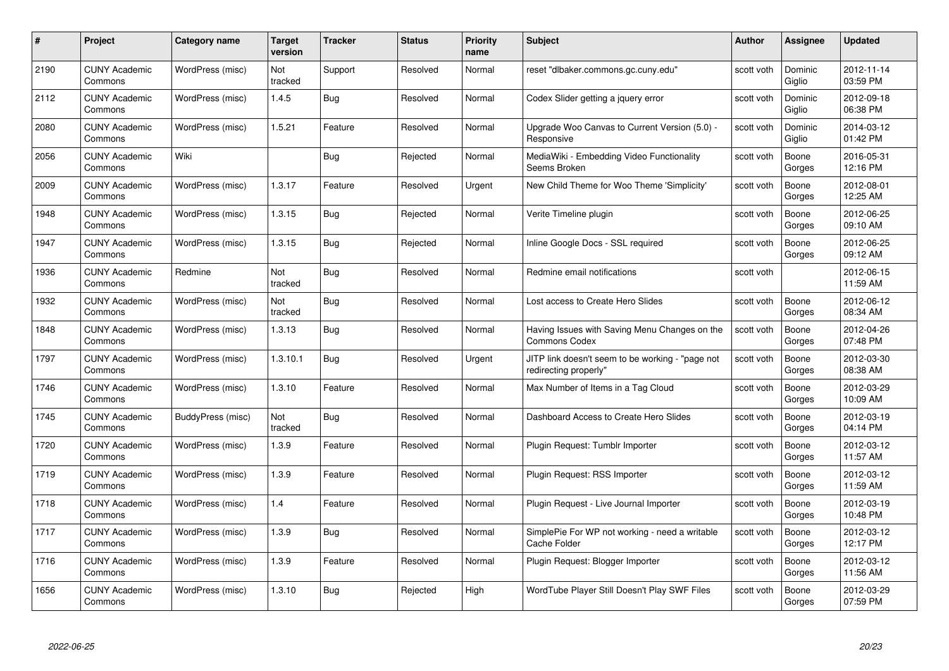| #    | Project                         | <b>Category name</b> | Target<br>version | <b>Tracker</b> | <b>Status</b> | <b>Priority</b><br>name | <b>Subject</b>                                                            | <b>Author</b> | <b>Assignee</b>   | <b>Updated</b>         |
|------|---------------------------------|----------------------|-------------------|----------------|---------------|-------------------------|---------------------------------------------------------------------------|---------------|-------------------|------------------------|
| 2190 | <b>CUNY Academic</b><br>Commons | WordPress (misc)     | Not<br>tracked    | Support        | Resolved      | Normal                  | reset "dlbaker.commons.gc.cuny.edu"                                       | scott voth    | Dominic<br>Giglio | 2012-11-14<br>03:59 PM |
| 2112 | <b>CUNY Academic</b><br>Commons | WordPress (misc)     | 1.4.5             | <b>Bug</b>     | Resolved      | Normal                  | Codex Slider getting a jquery error                                       | scott voth    | Dominic<br>Giglio | 2012-09-18<br>06:38 PM |
| 2080 | <b>CUNY Academic</b><br>Commons | WordPress (misc)     | 1.5.21            | Feature        | Resolved      | Normal                  | Upgrade Woo Canvas to Current Version (5.0) -<br>Responsive               | scott voth    | Dominic<br>Giglio | 2014-03-12<br>01:42 PM |
| 2056 | <b>CUNY Academic</b><br>Commons | Wiki                 |                   | Bug            | Rejected      | Normal                  | MediaWiki - Embedding Video Functionality<br>Seems Broken                 | scott voth    | Boone<br>Gorges   | 2016-05-31<br>12:16 PM |
| 2009 | CUNY Academic<br>Commons        | WordPress (misc)     | 1.3.17            | Feature        | Resolved      | Urgent                  | New Child Theme for Woo Theme 'Simplicity'                                | scott voth    | Boone<br>Gorges   | 2012-08-01<br>12:25 AM |
| 1948 | <b>CUNY Academic</b><br>Commons | WordPress (misc)     | 1.3.15            | <b>Bug</b>     | Rejected      | Normal                  | Verite Timeline plugin                                                    | scott voth    | Boone<br>Gorges   | 2012-06-25<br>09:10 AM |
| 1947 | <b>CUNY Academic</b><br>Commons | WordPress (misc)     | 1.3.15            | Bug            | Rejected      | Normal                  | Inline Google Docs - SSL required                                         | scott voth    | Boone<br>Gorges   | 2012-06-25<br>09:12 AM |
| 1936 | <b>CUNY Academic</b><br>Commons | Redmine              | Not<br>tracked    | Bug            | Resolved      | Normal                  | Redmine email notifications                                               | scott voth    |                   | 2012-06-15<br>11:59 AM |
| 1932 | <b>CUNY Academic</b><br>Commons | WordPress (misc)     | Not<br>tracked    | <b>Bug</b>     | Resolved      | Normal                  | Lost access to Create Hero Slides                                         | scott voth    | Boone<br>Gorges   | 2012-06-12<br>08:34 AM |
| 1848 | <b>CUNY Academic</b><br>Commons | WordPress (misc)     | 1.3.13            | <b>Bug</b>     | Resolved      | Normal                  | Having Issues with Saving Menu Changes on the<br>Commons Codex            | scott voth    | Boone<br>Gorges   | 2012-04-26<br>07:48 PM |
| 1797 | CUNY Academic<br>Commons        | WordPress (misc)     | 1.3.10.1          | <b>Bug</b>     | Resolved      | Urgent                  | JITP link doesn't seem to be working - "page not<br>redirecting properly" | scott voth    | Boone<br>Gorges   | 2012-03-30<br>08:38 AM |
| 1746 | <b>CUNY Academic</b><br>Commons | WordPress (misc)     | 1.3.10            | Feature        | Resolved      | Normal                  | Max Number of Items in a Tag Cloud                                        | scott voth    | Boone<br>Gorges   | 2012-03-29<br>10:09 AM |
| 1745 | <b>CUNY Academic</b><br>Commons | BuddyPress (misc)    | Not<br>tracked    | Bug            | Resolved      | Normal                  | Dashboard Access to Create Hero Slides                                    | scott voth    | Boone<br>Gorges   | 2012-03-19<br>04:14 PM |
| 1720 | <b>CUNY Academic</b><br>Commons | WordPress (misc)     | 1.3.9             | Feature        | Resolved      | Normal                  | Plugin Request: Tumblr Importer                                           | scott voth    | Boone<br>Gorges   | 2012-03-12<br>11:57 AM |
| 1719 | <b>CUNY Academic</b><br>Commons | WordPress (misc)     | 1.3.9             | Feature        | Resolved      | Normal                  | Plugin Request: RSS Importer                                              | scott voth    | Boone<br>Gorges   | 2012-03-12<br>11:59 AM |
| 1718 | <b>CUNY Academic</b><br>Commons | WordPress (misc)     | 1.4               | Feature        | Resolved      | Normal                  | Plugin Request - Live Journal Importer                                    | scott voth    | Boone<br>Gorges   | 2012-03-19<br>10:48 PM |
| 1717 | <b>CUNY Academic</b><br>Commons | WordPress (misc)     | 1.3.9             | Bug            | Resolved      | Normal                  | SimplePie For WP not working - need a writable<br>Cache Folder            | scott voth    | Boone<br>Gorges   | 2012-03-12<br>12:17 PM |
| 1716 | <b>CUNY Academic</b><br>Commons | WordPress (misc)     | 1.3.9             | Feature        | Resolved      | Normal                  | Plugin Request: Blogger Importer                                          | scott voth    | Boone<br>Gorges   | 2012-03-12<br>11:56 AM |
| 1656 | CUNY Academic<br>Commons        | WordPress (misc)     | 1.3.10            | Bug            | Rejected      | High                    | WordTube Player Still Doesn't Play SWF Files                              | scott voth    | Boone<br>Gorges   | 2012-03-29<br>07:59 PM |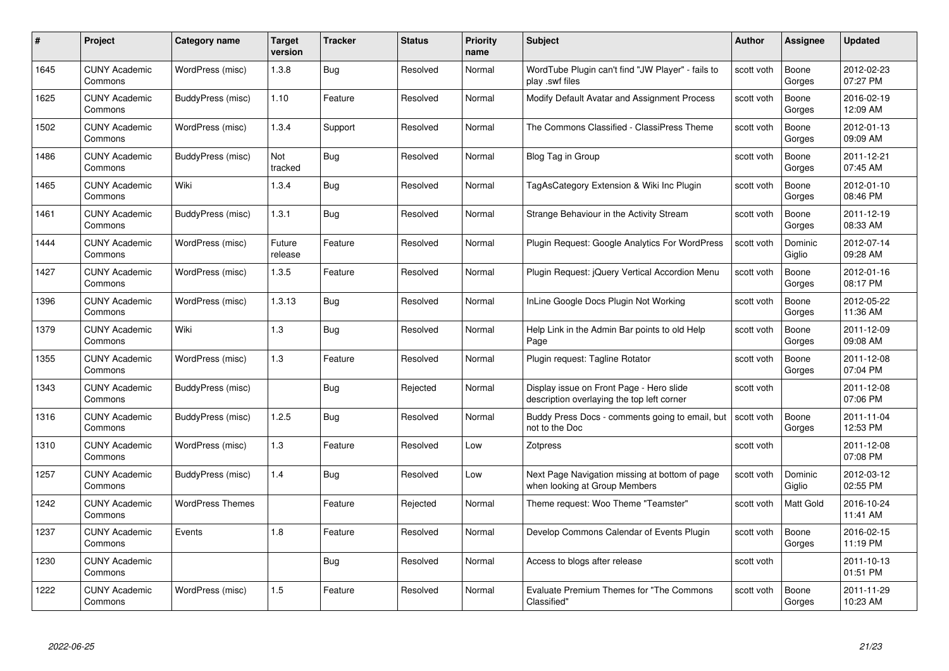| #    | Project                         | <b>Category name</b>    | Target<br>version | <b>Tracker</b> | <b>Status</b> | <b>Priority</b><br>name | <b>Subject</b>                                                                         | <b>Author</b> | <b>Assignee</b>   | <b>Updated</b>         |
|------|---------------------------------|-------------------------|-------------------|----------------|---------------|-------------------------|----------------------------------------------------------------------------------------|---------------|-------------------|------------------------|
| 1645 | <b>CUNY Academic</b><br>Commons | WordPress (misc)        | 1.3.8             | <b>Bug</b>     | Resolved      | Normal                  | WordTube Plugin can't find "JW Player" - fails to<br>play .swf files                   | scott voth    | Boone<br>Gorges   | 2012-02-23<br>07:27 PM |
| 1625 | <b>CUNY Academic</b><br>Commons | BuddyPress (misc)       | 1.10              | Feature        | Resolved      | Normal                  | Modify Default Avatar and Assignment Process                                           | scott voth    | Boone<br>Gorges   | 2016-02-19<br>12:09 AM |
| 1502 | <b>CUNY Academic</b><br>Commons | WordPress (misc)        | 1.3.4             | Support        | Resolved      | Normal                  | The Commons Classified - ClassiPress Theme                                             | scott voth    | Boone<br>Gorges   | 2012-01-13<br>09:09 AM |
| 1486 | <b>CUNY Academic</b><br>Commons | BuddyPress (misc)       | Not<br>tracked    | <b>Bug</b>     | Resolved      | Normal                  | Blog Tag in Group                                                                      | scott voth    | Boone<br>Gorges   | 2011-12-21<br>07:45 AM |
| 1465 | <b>CUNY Academic</b><br>Commons | Wiki                    | 1.3.4             | <b>Bug</b>     | Resolved      | Normal                  | TagAsCategory Extension & Wiki Inc Plugin                                              | scott voth    | Boone<br>Gorges   | 2012-01-10<br>08:46 PM |
| 1461 | <b>CUNY Academic</b><br>Commons | BuddyPress (misc)       | 1.3.1             | Bug            | Resolved      | Normal                  | Strange Behaviour in the Activity Stream                                               | scott voth    | Boone<br>Gorges   | 2011-12-19<br>08:33 AM |
| 1444 | <b>CUNY Academic</b><br>Commons | WordPress (misc)        | Future<br>release | Feature        | Resolved      | Normal                  | Plugin Request: Google Analytics For WordPress                                         | scott voth    | Dominic<br>Giglio | 2012-07-14<br>09:28 AM |
| 1427 | <b>CUNY Academic</b><br>Commons | WordPress (misc)        | 1.3.5             | Feature        | Resolved      | Normal                  | Plugin Request: jQuery Vertical Accordion Menu                                         | scott voth    | Boone<br>Gorges   | 2012-01-16<br>08:17 PM |
| 1396 | <b>CUNY Academic</b><br>Commons | WordPress (misc)        | 1.3.13            | Bug            | Resolved      | Normal                  | InLine Google Docs Plugin Not Working                                                  | scott voth    | Boone<br>Gorges   | 2012-05-22<br>11:36 AM |
| 1379 | <b>CUNY Academic</b><br>Commons | Wiki                    | 1.3               | <b>Bug</b>     | Resolved      | Normal                  | Help Link in the Admin Bar points to old Help<br>Page                                  | scott voth    | Boone<br>Gorges   | 2011-12-09<br>09:08 AM |
| 1355 | <b>CUNY Academic</b><br>Commons | WordPress (misc)        | 1.3               | Feature        | Resolved      | Normal                  | Plugin request: Tagline Rotator                                                        | scott voth    | Boone<br>Gorges   | 2011-12-08<br>07:04 PM |
| 1343 | <b>CUNY Academic</b><br>Commons | BuddyPress (misc)       |                   | Bug            | Rejected      | Normal                  | Display issue on Front Page - Hero slide<br>description overlaying the top left corner | scott voth    |                   | 2011-12-08<br>07:06 PM |
| 1316 | <b>CUNY Academic</b><br>Commons | BuddyPress (misc)       | 1.2.5             | <b>Bug</b>     | Resolved      | Normal                  | Buddy Press Docs - comments going to email, but  <br>not to the Doc                    | scott voth    | Boone<br>Gorges   | 2011-11-04<br>12:53 PM |
| 1310 | <b>CUNY Academic</b><br>Commons | WordPress (misc)        | 1.3               | Feature        | Resolved      | Low                     | Zotpress                                                                               | scott voth    |                   | 2011-12-08<br>07:08 PM |
| 1257 | <b>CUNY Academic</b><br>Commons | BuddyPress (misc)       | 1.4               | Bug            | Resolved      | Low                     | Next Page Navigation missing at bottom of page<br>when looking at Group Members        | scott voth    | Dominic<br>Giglio | 2012-03-12<br>02:55 PM |
| 1242 | <b>CUNY Academic</b><br>Commons | <b>WordPress Themes</b> |                   | Feature        | Rejected      | Normal                  | Theme request: Woo Theme "Teamster"                                                    | scott voth    | Matt Gold         | 2016-10-24<br>11:41 AM |
| 1237 | <b>CUNY Academic</b><br>Commons | Events                  | 1.8               | Feature        | Resolved      | Normal                  | Develop Commons Calendar of Events Plugin                                              | scott voth    | Boone<br>Gorges   | 2016-02-15<br>11:19 PM |
| 1230 | <b>CUNY Academic</b><br>Commons |                         |                   | Bug            | Resolved      | Normal                  | Access to blogs after release                                                          | scott voth    |                   | 2011-10-13<br>01:51 PM |
| 1222 | <b>CUNY Academic</b><br>Commons | WordPress (misc)        | 1.5               | Feature        | Resolved      | Normal                  | <b>Evaluate Premium Themes for "The Commons</b><br>Classified"                         | scott voth    | Boone<br>Gorges   | 2011-11-29<br>10:23 AM |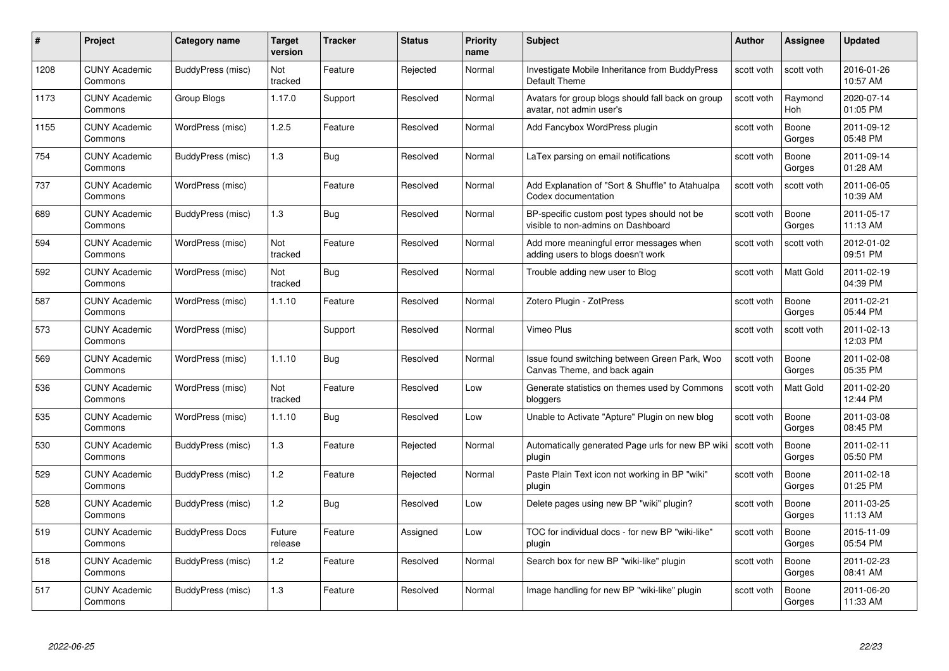| #    | Project                         | Category name          | Target<br>version | <b>Tracker</b> | <b>Status</b> | <b>Priority</b><br>name | <b>Subject</b>                                                                    | <b>Author</b> | <b>Assignee</b>       | <b>Updated</b>         |
|------|---------------------------------|------------------------|-------------------|----------------|---------------|-------------------------|-----------------------------------------------------------------------------------|---------------|-----------------------|------------------------|
| 1208 | <b>CUNY Academic</b><br>Commons | BuddyPress (misc)      | Not<br>tracked    | Feature        | Rejected      | Normal                  | Investigate Mobile Inheritance from BuddyPress<br>Default Theme                   | scott voth    | scott voth            | 2016-01-26<br>10:57 AM |
| 1173 | <b>CUNY Academic</b><br>Commons | Group Blogs            | 1.17.0            | Support        | Resolved      | Normal                  | Avatars for group blogs should fall back on group<br>avatar, not admin user's     | scott voth    | Raymond<br><b>Hoh</b> | 2020-07-14<br>01:05 PM |
| 1155 | <b>CUNY Academic</b><br>Commons | WordPress (misc)       | 1.2.5             | Feature        | Resolved      | Normal                  | Add Fancybox WordPress plugin                                                     | scott voth    | Boone<br>Gorges       | 2011-09-12<br>05:48 PM |
| 754  | <b>CUNY Academic</b><br>Commons | BuddyPress (misc)      | 1.3               | Bug            | Resolved      | Normal                  | LaTex parsing on email notifications                                              | scott voth    | Boone<br>Gorges       | 2011-09-14<br>01:28 AM |
| 737  | <b>CUNY Academic</b><br>Commons | WordPress (misc)       |                   | Feature        | Resolved      | Normal                  | Add Explanation of "Sort & Shuffle" to Atahualpa<br>Codex documentation           | scott voth    | scott voth            | 2011-06-05<br>10:39 AM |
| 689  | <b>CUNY Academic</b><br>Commons | BuddyPress (misc)      | 1.3               | <b>Bug</b>     | Resolved      | Normal                  | BP-specific custom post types should not be<br>visible to non-admins on Dashboard | scott voth    | Boone<br>Gorges       | 2011-05-17<br>11:13 AM |
| 594  | <b>CUNY Academic</b><br>Commons | WordPress (misc)       | Not<br>tracked    | Feature        | Resolved      | Normal                  | Add more meaningful error messages when<br>adding users to blogs doesn't work     | scott voth    | scott voth            | 2012-01-02<br>09:51 PM |
| 592  | <b>CUNY Academic</b><br>Commons | WordPress (misc)       | Not<br>tracked    | Bug            | Resolved      | Normal                  | Trouble adding new user to Blog                                                   | scott voth    | Matt Gold             | 2011-02-19<br>04:39 PM |
| 587  | <b>CUNY Academic</b><br>Commons | WordPress (misc)       | 1.1.10            | Feature        | Resolved      | Normal                  | Zotero Plugin - ZotPress                                                          | scott voth    | Boone<br>Gorges       | 2011-02-21<br>05:44 PM |
| 573  | <b>CUNY Academic</b><br>Commons | WordPress (misc)       |                   | Support        | Resolved      | Normal                  | Vimeo Plus                                                                        | scott voth    | scott voth            | 2011-02-13<br>12:03 PM |
| 569  | <b>CUNY Academic</b><br>Commons | WordPress (misc)       | 1.1.10            | <b>Bug</b>     | Resolved      | Normal                  | Issue found switching between Green Park, Woo<br>Canvas Theme, and back again     | scott voth    | Boone<br>Gorges       | 2011-02-08<br>05:35 PM |
| 536  | <b>CUNY Academic</b><br>Commons | WordPress (misc)       | Not<br>tracked    | Feature        | Resolved      | Low                     | Generate statistics on themes used by Commons<br>bloggers                         | scott voth    | Matt Gold             | 2011-02-20<br>12:44 PM |
| 535  | <b>CUNY Academic</b><br>Commons | WordPress (misc)       | 1.1.10            | <b>Bug</b>     | Resolved      | Low                     | Unable to Activate "Apture" Plugin on new blog                                    | scott voth    | Boone<br>Gorges       | 2011-03-08<br>08:45 PM |
| 530  | <b>CUNY Academic</b><br>Commons | BuddyPress (misc)      | 1.3               | Feature        | Rejected      | Normal                  | Automatically generated Page urls for new BP wiki<br>plugin                       | scott voth    | Boone<br>Gorges       | 2011-02-11<br>05:50 PM |
| 529  | <b>CUNY Academic</b><br>Commons | BuddyPress (misc)      | 1.2               | Feature        | Rejected      | Normal                  | Paste Plain Text icon not working in BP "wiki"<br>plugin                          | scott voth    | Boone<br>Gorges       | 2011-02-18<br>01:25 PM |
| 528  | <b>CUNY Academic</b><br>Commons | BuddyPress (misc)      | 1.2               | <b>Bug</b>     | Resolved      | Low                     | Delete pages using new BP "wiki" plugin?                                          | scott voth    | Boone<br>Gorges       | 2011-03-25<br>11:13 AM |
| 519  | <b>CUNY Academic</b><br>Commons | <b>BuddyPress Docs</b> | Future<br>release | Feature        | Assigned      | Low                     | TOC for individual docs - for new BP "wiki-like"<br>plugin                        | scott voth    | Boone<br>Gorges       | 2015-11-09<br>05:54 PM |
| 518  | <b>CUNY Academic</b><br>Commons | BuddyPress (misc)      | 1.2               | Feature        | Resolved      | Normal                  | Search box for new BP "wiki-like" plugin                                          | scott voth    | Boone<br>Gorges       | 2011-02-23<br>08:41 AM |
| 517  | <b>CUNY Academic</b><br>Commons | BuddyPress (misc)      | 1.3               | Feature        | Resolved      | Normal                  | Image handling for new BP "wiki-like" plugin                                      | scott voth    | Boone<br>Gorges       | 2011-06-20<br>11:33 AM |